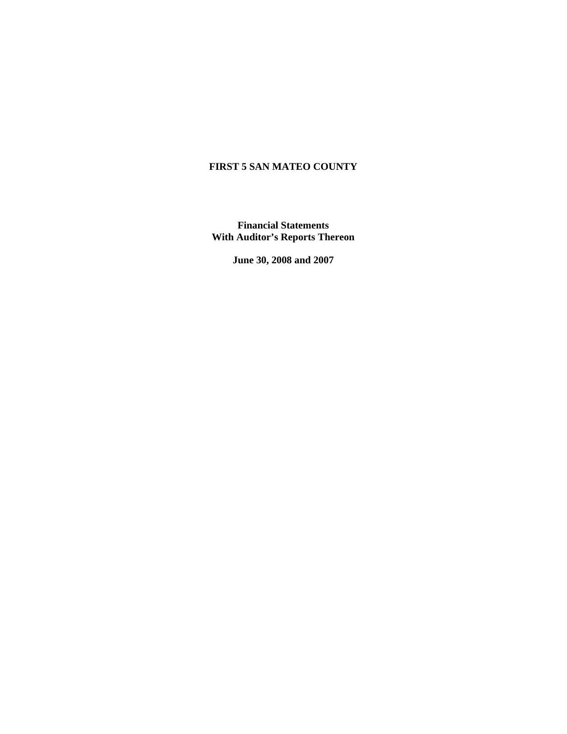## **FIRST 5 SAN MATEO COUNTY**

**Financial Statements With Auditor's Reports Thereon** 

**June 30, 2008 and 2007**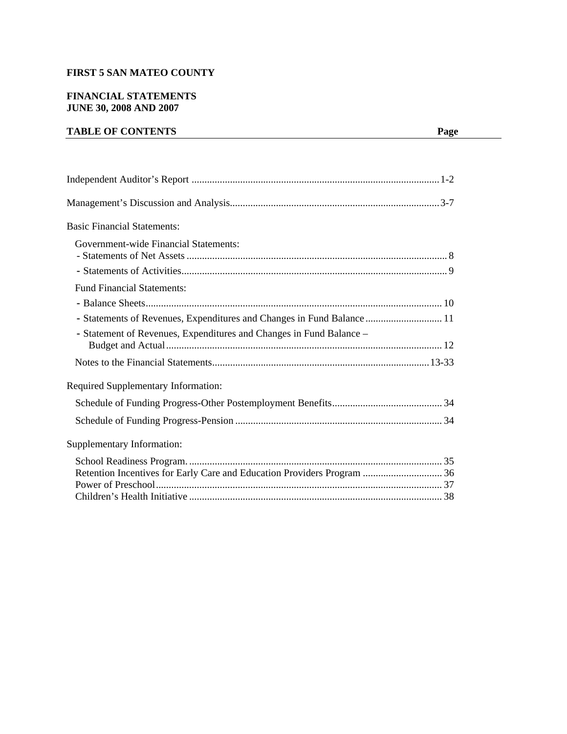## **FIRST 5 SAN MATEO COUNTY**

## **FINANCIAL STATEMENTS JUNE 30, 2008 AND 2007**

## **TABLE OF CONTENTS** Page

| <b>Basic Financial Statements:</b>                                      |
|-------------------------------------------------------------------------|
| <b>Government-wide Financial Statements:</b>                            |
|                                                                         |
| <b>Fund Financial Statements:</b>                                       |
|                                                                         |
| - Statements of Revenues, Expenditures and Changes in Fund Balance  11  |
| - Statement of Revenues, Expenditures and Changes in Fund Balance -     |
|                                                                         |
| Required Supplementary Information:                                     |
|                                                                         |
|                                                                         |
| Supplementary Information:                                              |
| Retention Incentives for Early Care and Education Providers Program  36 |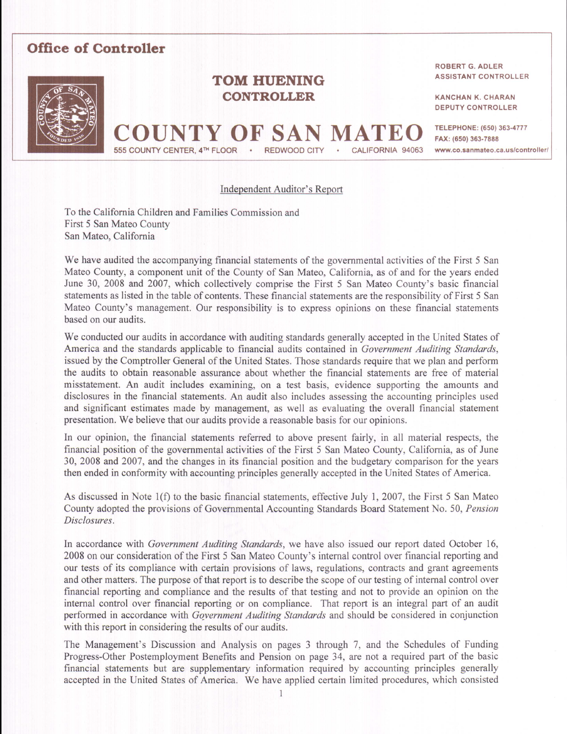# **Office of Controller**



# **TOM HUENING CONTROLLER**

Y OF SA

#### **ROBERT G. ADLER ASSISTANT CONTROLLER**

**KANCHAN K. CHARAN DEPUTY CONTROLLER** 

**TELEPHONE: (650) 363-4777** FAX: (650) 363-7888 www.co.sanmateo.ca.us/controller/

## Independent Auditor's Report

**REDWOOD CITY** 

CALIFORNIA 94063

To the California Children and Families Commission and First 5 San Mateo County San Mateo, California

555 COUNTY CENTER, 4<sup>TH</sup> FLOOR

We have audited the accompanying financial statements of the governmental activities of the First 5 San Mateo County, a component unit of the County of San Mateo, California, as of and for the years ended June 30, 2008 and 2007, which collectively comprise the First 5 San Mateo County's basic financial statements as listed in the table of contents. These financial statements are the responsibility of First 5 San Mateo County's management. Our responsibility is to express opinions on these financial statements based on our audits.

We conducted our audits in accordance with auditing standards generally accepted in the United States of America and the standards applicable to financial audits contained in Government Auditing Standards, issued by the Comptroller General of the United States. Those standards require that we plan and perform the audits to obtain reasonable assurance about whether the financial statements are free of material misstatement. An audit includes examining, on a test basis, evidence supporting the amounts and disclosures in the financial statements. An audit also includes assessing the accounting principles used and significant estimates made by management, as well as evaluating the overall financial statement presentation. We believe that our audits provide a reasonable basis for our opinions.

In our opinion, the financial statements referred to above present fairly, in all material respects, the financial position of the governmental activities of the First 5 San Mateo County, California, as of June 30, 2008 and 2007, and the changes in its financial position and the budgetary comparison for the years then ended in conformity with accounting principles generally accepted in the United States of America.

As discussed in Note 1(f) to the basic financial statements, effective July 1, 2007, the First 5 San Mateo County adopted the provisions of Governmental Accounting Standards Board Statement No. 50, Pension Disclosures.

In accordance with Government Auditing Standards, we have also issued our report dated October 16, 2008 on our consideration of the First 5 San Mateo County's internal control over financial reporting and our tests of its compliance with certain provisions of laws, regulations, contracts and grant agreements and other matters. The purpose of that report is to describe the scope of our testing of internal control over financial reporting and compliance and the results of that testing and not to provide an opinion on the internal control over financial reporting or on compliance. That report is an integral part of an audit performed in accordance with Government Auditing Standards and should be considered in conjunction with this report in considering the results of our audits.

The Management's Discussion and Analysis on pages 3 through 7, and the Schedules of Funding Progress-Other Postemployment Benefits and Pension on page 34, are not a required part of the basic financial statements but are supplementary information required by accounting principles generally accepted in the United States of America. We have applied certain limited procedures, which consisted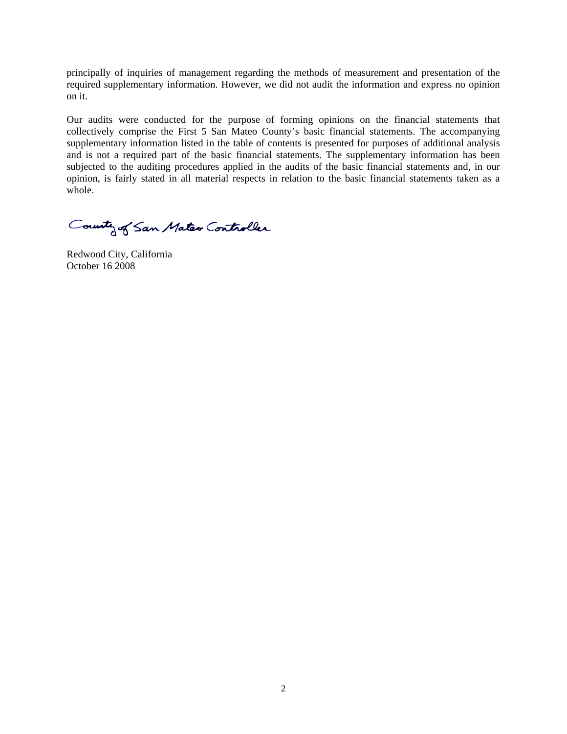principally of inquiries of management regarding the methods of measurement and presentation of the required supplementary information. However, we did not audit the information and express no opinion on it.

Our audits were conducted for the purpose of forming opinions on the financial statements that collectively comprise the First 5 San Mateo County's basic financial statements. The accompanying supplementary information listed in the table of contents is presented for purposes of additional analysis and is not a required part of the basic financial statements. The supplementary information has been subjected to the auditing procedures applied in the audits of the basic financial statements and, in our opinion, is fairly stated in all material respects in relation to the basic financial statements taken as a whole.

County of San Mater Controller

Redwood City, California October 16 2008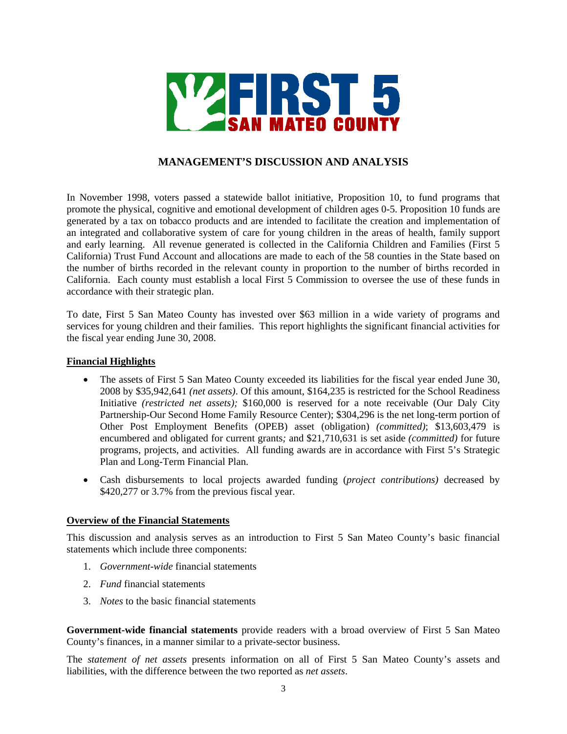

## **MANAGEMENT'S DISCUSSION AND ANALYSIS**

In November 1998, voters passed a statewide ballot initiative, Proposition 10, to fund programs that promote the physical, cognitive and emotional development of children ages 0-5. Proposition 10 funds are generated by a tax on tobacco products and are intended to facilitate the creation and implementation of an integrated and collaborative system of care for young children in the areas of health, family support and early learning. All revenue generated is collected in the California Children and Families (First 5 California) Trust Fund Account and allocations are made to each of the 58 counties in the State based on the number of births recorded in the relevant county in proportion to the number of births recorded in California. Each county must establish a local First 5 Commission to oversee the use of these funds in accordance with their strategic plan.

To date, First 5 San Mateo County has invested over \$63 million in a wide variety of programs and services for young children and their families. This report highlights the significant financial activities for the fiscal year ending June 30, 2008.

### **Financial Highlights**

- The assets of First 5 San Mateo County exceeded its liabilities for the fiscal year ended June 30, 2008 by \$35,942,641 *(net assets)*. Of this amount, \$164,235 is restricted for the School Readiness Initiative *(restricted net assets);* \$160,000 is reserved for a note receivable (Our Daly City Partnership-Our Second Home Family Resource Center); \$304,296 is the net long-term portion of Other Post Employment Benefits (OPEB) asset (obligation) *(committed)*; \$13,603,479 is encumbered and obligated for current grants*;* and \$21,710,631 is set aside *(committed)* for future programs, projects, and activities. All funding awards are in accordance with First 5's Strategic Plan and Long-Term Financial Plan.
- Cash disbursements to local projects awarded funding (*project contributions)* decreased by \$420,277 or 3.7% from the previous fiscal year.

#### **Overview of the Financial Statements**

This discussion and analysis serves as an introduction to First 5 San Mateo County's basic financial statements which include three components:

- 1. *Government-wide* financial statements
- 2. *Fund* financial statements
- 3. *Notes* to the basic financial statements

**Government-wide financial statements** provide readers with a broad overview of First 5 San Mateo County's finances, in a manner similar to a private-sector business.

The *statement of net assets* presents information on all of First 5 San Mateo County's assets and liabilities, with the difference between the two reported as *net assets*.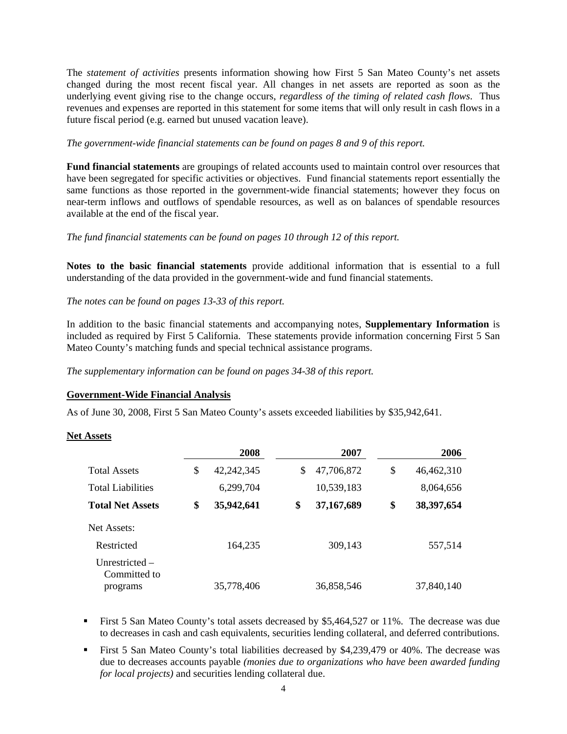The *statement of activities* presents information showing how First 5 San Mateo County's net assets changed during the most recent fiscal year. All changes in net assets are reported as soon as the underlying event giving rise to the change occurs, *regardless of the timing of related cash flows*. Thus revenues and expenses are reported in this statement for some items that will only result in cash flows in a future fiscal period (e.g. earned but unused vacation leave).

### *The government-wide financial statements can be found on pages 8 and 9 of this report.*

**Fund financial statements** are groupings of related accounts used to maintain control over resources that have been segregated for specific activities or objectives. Fund financial statements report essentially the same functions as those reported in the government-wide financial statements; however they focus on near-term inflows and outflows of spendable resources, as well as on balances of spendable resources available at the end of the fiscal year.

## *The fund financial statements can be found on pages 10 through 12 of this report.*

**Notes to the basic financial statements** provide additional information that is essential to a full understanding of the data provided in the government-wide and fund financial statements.

*The notes can be found on pages 13-33 of this report.* 

In addition to the basic financial statements and accompanying notes, **Supplementary Information** is included as required by First 5 California. These statements provide information concerning First 5 San Mateo County's matching funds and special technical assistance programs.

*The supplementary information can be found on pages 34-38 of this report.* 

## **Government-Wide Financial Analysis**

As of June 30, 2008, First 5 San Mateo County's assets exceeded liabilities by \$35,942,641.

#### **Net Assets**

|                                  | 2008             | 2007             | 2006             |
|----------------------------------|------------------|------------------|------------------|
| <b>Total Assets</b>              | \$<br>42,242,345 | \$<br>47,706,872 | \$<br>46,462,310 |
| <b>Total Liabilities</b>         | 6,299,704        | 10,539,183       | 8,064,656        |
| <b>Total Net Assets</b>          | \$<br>35,942,641 | \$<br>37,167,689 | \$<br>38,397,654 |
| Net Assets:                      |                  |                  |                  |
| Restricted                       | 164,235          | 309,143          | 557,514          |
| Unrestricted $-$<br>Committed to |                  |                  |                  |
| programs                         | 35,778,406       | 36,858,546       | 37,840,140       |

- First 5 San Mateo County's total assets decreased by \$5,464,527 or 11%. The decrease was due to decreases in cash and cash equivalents, securities lending collateral, and deferred contributions.
- First 5 San Mateo County's total liabilities decreased by \$4,239,479 or 40%. The decrease was due to decreases accounts payable *(monies due to organizations who have been awarded funding for local projects)* and securities lending collateral due.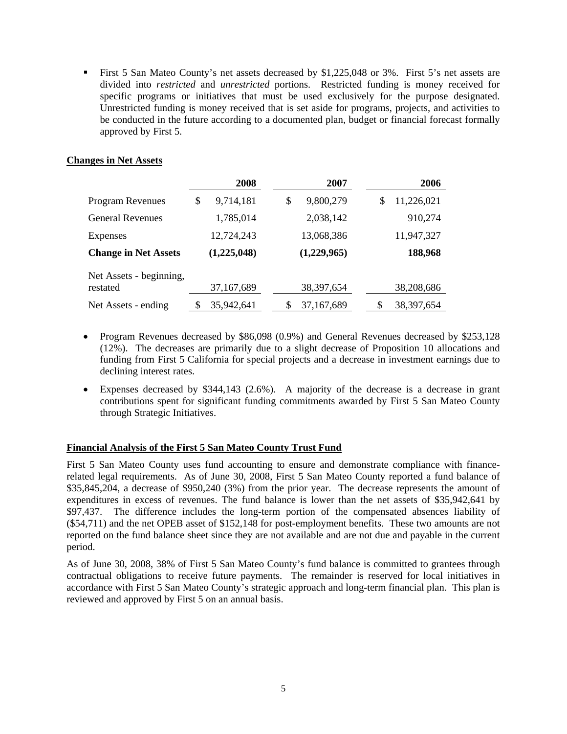First 5 San Mateo County's net assets decreased by \$1,225,048 or 3%. First 5's net assets are divided into *restricted* and *unrestricted* portions. Restricted funding is money received for specific programs or initiatives that must be used exclusively for the purpose designated. Unrestricted funding is money received that is set aside for programs, projects, and activities to be conducted in the future according to a documented plan, budget or financial forecast formally approved by First 5.

## **Changes in Net Assets**

|                                     | 2008            |    | 2007         | 2006             |
|-------------------------------------|-----------------|----|--------------|------------------|
| <b>Program Revenues</b>             | \$<br>9,714,181 | \$ | 9,800,279    | \$<br>11,226,021 |
| <b>General Revenues</b>             | 1,785,014       |    | 2,038,142    | 910,274          |
| Expenses                            | 12,724,243      |    | 13,068,386   | 11,947,327       |
| <b>Change in Net Assets</b>         | (1,225,048)     |    | (1,229,965)  | 188,968          |
| Net Assets - beginning,<br>restated | 37,167,689      |    | 38, 397, 654 | 38,208,686       |
| Net Assets - ending                 | 35,942,641      | S  | 37,167,689   | 38, 397, 654     |

- Program Revenues decreased by \$86,098 (0.9%) and General Revenues decreased by \$253,128 (12%). The decreases are primarily due to a slight decrease of Proposition 10 allocations and funding from First 5 California for special projects and a decrease in investment earnings due to declining interest rates.
- Expenses decreased by \$344,143 (2.6%). A majority of the decrease is a decrease in grant contributions spent for significant funding commitments awarded by First 5 San Mateo County through Strategic Initiatives.

## **Financial Analysis of the First 5 San Mateo County Trust Fund**

First 5 San Mateo County uses fund accounting to ensure and demonstrate compliance with financerelated legal requirements. As of June 30, 2008, First 5 San Mateo County reported a fund balance of \$35,845,204, a decrease of \$950,240 (3%) from the prior year. The decrease represents the amount of expenditures in excess of revenues. The fund balance is lower than the net assets of \$35,942,641 by \$97,437. The difference includes the long-term portion of the compensated absences liability of (\$54,711) and the net OPEB asset of \$152,148 for post-employment benefits. These two amounts are not reported on the fund balance sheet since they are not available and are not due and payable in the current period.

As of June 30, 2008, 38% of First 5 San Mateo County's fund balance is committed to grantees through contractual obligations to receive future payments. The remainder is reserved for local initiatives in accordance with First 5 San Mateo County's strategic approach and long-term financial plan. This plan is reviewed and approved by First 5 on an annual basis.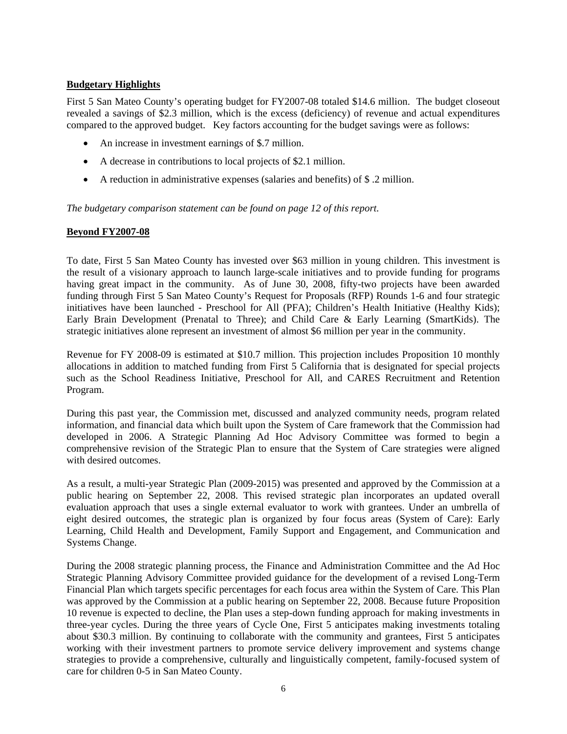## **Budgetary Highlights**

First 5 San Mateo County's operating budget for FY2007-08 totaled \$14.6 million. The budget closeout revealed a savings of \$2.3 million, which is the excess (deficiency) of revenue and actual expenditures compared to the approved budget. Key factors accounting for the budget savings were as follows:

- An increase in investment earnings of \$.7 million.
- A decrease in contributions to local projects of \$2.1 million.
- A reduction in administrative expenses (salaries and benefits) of \$ .2 million.

*The budgetary comparison statement can be found on page 12 of this report.* 

## **Beyond FY2007-08**

To date, First 5 San Mateo County has invested over \$63 million in young children. This investment is the result of a visionary approach to launch large-scale initiatives and to provide funding for programs having great impact in the community. As of June 30, 2008, fifty-two projects have been awarded funding through First 5 San Mateo County's Request for Proposals (RFP) Rounds 1-6 and four strategic initiatives have been launched - Preschool for All (PFA); Children's Health Initiative (Healthy Kids); Early Brain Development (Prenatal to Three); and Child Care & Early Learning (SmartKids). The strategic initiatives alone represent an investment of almost \$6 million per year in the community.

Revenue for FY 2008-09 is estimated at \$10.7 million. This projection includes Proposition 10 monthly allocations in addition to matched funding from First 5 California that is designated for special projects such as the School Readiness Initiative, Preschool for All, and CARES Recruitment and Retention Program.

During this past year, the Commission met, discussed and analyzed community needs, program related information, and financial data which built upon the System of Care framework that the Commission had developed in 2006. A Strategic Planning Ad Hoc Advisory Committee was formed to begin a comprehensive revision of the Strategic Plan to ensure that the System of Care strategies were aligned with desired outcomes.

As a result, a multi-year Strategic Plan (2009-2015) was presented and approved by the Commission at a public hearing on September 22, 2008. This revised strategic plan incorporates an updated overall evaluation approach that uses a single external evaluator to work with grantees. Under an umbrella of eight desired outcomes, the strategic plan is organized by four focus areas (System of Care): Early Learning, Child Health and Development, Family Support and Engagement, and Communication and Systems Change.

During the 2008 strategic planning process, the Finance and Administration Committee and the Ad Hoc Strategic Planning Advisory Committee provided guidance for the development of a revised Long-Term Financial Plan which targets specific percentages for each focus area within the System of Care. This Plan was approved by the Commission at a public hearing on September 22, 2008. Because future Proposition 10 revenue is expected to decline, the Plan uses a step-down funding approach for making investments in three-year cycles. During the three years of Cycle One, First 5 anticipates making investments totaling about \$30.3 million. By continuing to collaborate with the community and grantees, First 5 anticipates working with their investment partners to promote service delivery improvement and systems change strategies to provide a comprehensive, culturally and linguistically competent, family-focused system of care for children 0-5 in San Mateo County.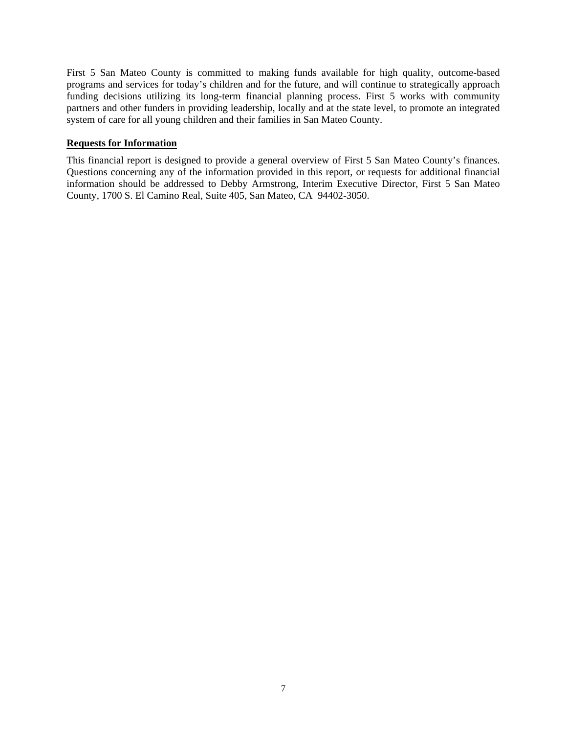First 5 San Mateo County is committed to making funds available for high quality, outcome-based programs and services for today's children and for the future, and will continue to strategically approach funding decisions utilizing its long-term financial planning process. First 5 works with community partners and other funders in providing leadership, locally and at the state level, to promote an integrated system of care for all young children and their families in San Mateo County.

## **Requests for Information**

This financial report is designed to provide a general overview of First 5 San Mateo County's finances. Questions concerning any of the information provided in this report, or requests for additional financial information should be addressed to Debby Armstrong, Interim Executive Director, First 5 San Mateo County, 1700 S. El Camino Real, Suite 405, San Mateo, CA 94402-3050.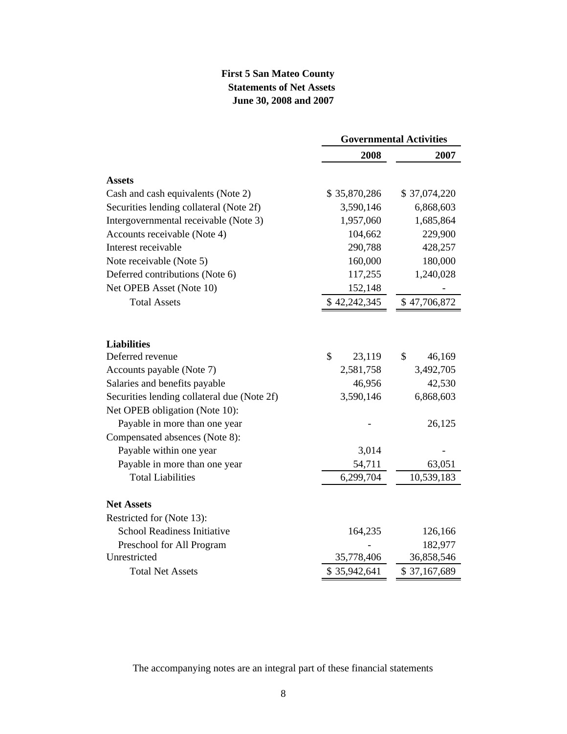## **First 5 San Mateo County Statements of Net Assets June 30, 2008 and 2007**

|                                             | <b>Governmental Activities</b> |              |  |
|---------------------------------------------|--------------------------------|--------------|--|
|                                             | 2008                           | 2007         |  |
| <b>Assets</b>                               |                                |              |  |
| Cash and cash equivalents (Note 2)          | \$35,870,286                   | \$37,074,220 |  |
| Securities lending collateral (Note 2f)     | 3,590,146                      | 6,868,603    |  |
| Intergovernmental receivable (Note 3)       | 1,957,060                      | 1,685,864    |  |
| Accounts receivable (Note 4)                | 104,662                        | 229,900      |  |
| Interest receivable                         | 290,788                        | 428,257      |  |
| Note receivable (Note 5)                    | 160,000                        | 180,000      |  |
| Deferred contributions (Note 6)             | 117,255                        | 1,240,028    |  |
| Net OPEB Asset (Note 10)                    | 152,148                        |              |  |
| <b>Total Assets</b>                         | \$42,242,345                   | \$47,706,872 |  |
|                                             |                                |              |  |
| <b>Liabilities</b>                          |                                |              |  |
| Deferred revenue                            | \$<br>23,119                   | \$<br>46,169 |  |
| Accounts payable (Note 7)                   | 2,581,758                      | 3,492,705    |  |
| Salaries and benefits payable               | 46,956                         | 42,530       |  |
| Securities lending collateral due (Note 2f) | 3,590,146                      | 6,868,603    |  |
| Net OPEB obligation (Note 10):              |                                |              |  |
| Payable in more than one year               |                                | 26,125       |  |
| Compensated absences (Note 8):              |                                |              |  |
| Payable within one year                     | 3,014                          |              |  |
| Payable in more than one year               | 54,711                         | 63,051       |  |
| <b>Total Liabilities</b>                    | 6,299,704                      | 10,539,183   |  |
| <b>Net Assets</b>                           |                                |              |  |
| Restricted for (Note 13):                   |                                |              |  |
| School Readiness Initiative                 | 164,235                        | 126,166      |  |
| Preschool for All Program                   |                                | 182,977      |  |
| Unrestricted                                | 35,778,406                     | 36,858,546   |  |
| <b>Total Net Assets</b>                     | \$35,942,641                   | \$37,167,689 |  |

The accompanying notes are an integral part of these financial statements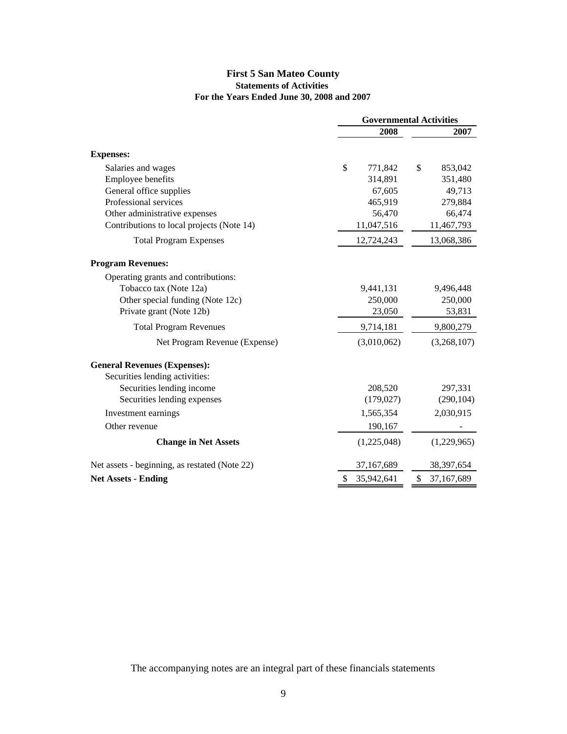## **First 5 San Mateo County Statements of Activities For the Years Ended June 30, 2008 and 2007**

|                                               | <b>Governmental Activities</b> |               |  |  |
|-----------------------------------------------|--------------------------------|---------------|--|--|
|                                               | 2008                           | 2007          |  |  |
| <b>Expenses:</b>                              |                                |               |  |  |
| Salaries and wages                            | \$<br>771,842                  | \$<br>853,042 |  |  |
| Employee benefits                             | 314,891                        | 351,480       |  |  |
| General office supplies                       | 67,605                         | 49,713        |  |  |
| Professional services                         | 465,919                        | 279,884       |  |  |
| Other administrative expenses                 | 56,470                         | 66,474        |  |  |
| Contributions to local projects (Note 14)     | 11,047,516                     | 11,467,793    |  |  |
| <b>Total Program Expenses</b>                 | 12,724,243                     | 13,068,386    |  |  |
| <b>Program Revenues:</b>                      |                                |               |  |  |
| Operating grants and contributions:           |                                |               |  |  |
| Tobacco tax (Note 12a)                        | 9,441,131                      | 9,496,448     |  |  |
| Other special funding (Note 12c)              | 250,000                        | 250,000       |  |  |
| Private grant (Note 12b)                      | 23,050                         | 53,831        |  |  |
| <b>Total Program Revenues</b>                 | 9,714,181                      | 9,800,279     |  |  |
| Net Program Revenue (Expense)                 | (3,010,062)                    | (3,268,107)   |  |  |
| <b>General Revenues (Expenses):</b>           |                                |               |  |  |
| Securities lending activities:                |                                |               |  |  |
| Securities lending income                     | 208,520                        | 297,331       |  |  |
| Securities lending expenses                   | (179, 027)                     | (290, 104)    |  |  |
| Investment earnings                           | 1,565,354                      | 2,030,915     |  |  |
| Other revenue                                 | 190,167                        |               |  |  |
| <b>Change in Net Assets</b>                   | (1,225,048)                    | (1,229,965)   |  |  |
| Net assets - beginning, as restated (Note 22) | 37,167,689                     | 38, 397, 654  |  |  |
| <b>Net Assets - Ending</b>                    | 35,942,641                     | 37,167,689    |  |  |

The accompanying notes are an integral part of these financials statements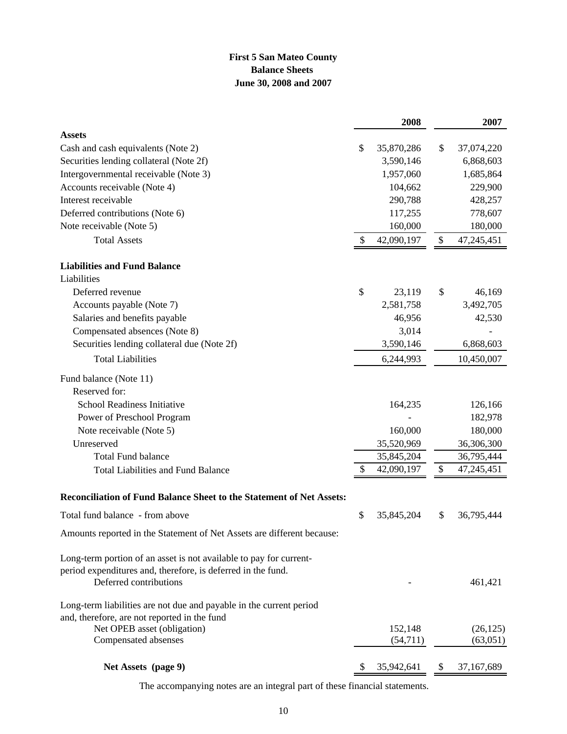## **First 5 San Mateo County Balance Sheets June 30, 2008 and 2007**

|                                                                                                                                                              | 2008             | 2007             |
|--------------------------------------------------------------------------------------------------------------------------------------------------------------|------------------|------------------|
| <b>Assets</b>                                                                                                                                                |                  |                  |
| Cash and cash equivalents (Note 2)                                                                                                                           | \$<br>35,870,286 | \$<br>37,074,220 |
| Securities lending collateral (Note 2f)                                                                                                                      | 3,590,146        | 6,868,603        |
| Intergovernmental receivable (Note 3)                                                                                                                        | 1,957,060        | 1,685,864        |
| Accounts receivable (Note 4)                                                                                                                                 | 104,662          | 229,900          |
| Interest receivable                                                                                                                                          | 290,788          | 428,257          |
| Deferred contributions (Note 6)                                                                                                                              | 117,255          | 778,607          |
| Note receivable (Note 5)                                                                                                                                     | 160,000          | 180,000          |
| <b>Total Assets</b>                                                                                                                                          | \$<br>42,090,197 | \$<br>47,245,451 |
| <b>Liabilities and Fund Balance</b>                                                                                                                          |                  |                  |
| Liabilities                                                                                                                                                  |                  |                  |
| Deferred revenue                                                                                                                                             | \$<br>23,119     | \$<br>46,169     |
| Accounts payable (Note 7)                                                                                                                                    | 2,581,758        | 3,492,705        |
| Salaries and benefits payable                                                                                                                                | 46,956           | 42,530           |
| Compensated absences (Note 8)                                                                                                                                | 3,014            |                  |
| Securities lending collateral due (Note 2f)                                                                                                                  | 3,590,146        | 6,868,603        |
| <b>Total Liabilities</b>                                                                                                                                     | 6,244,993        | 10,450,007       |
| Fund balance (Note 11)                                                                                                                                       |                  |                  |
| Reserved for:                                                                                                                                                |                  |                  |
| School Readiness Initiative                                                                                                                                  | 164,235          | 126,166          |
| Power of Preschool Program                                                                                                                                   |                  | 182,978          |
| Note receivable (Note 5)                                                                                                                                     | 160,000          | 180,000          |
| Unreserved                                                                                                                                                   | 35,520,969       | 36,306,300       |
| <b>Total Fund balance</b>                                                                                                                                    | 35,845,204       | 36,795,444       |
| <b>Total Liabilities and Fund Balance</b>                                                                                                                    | \$<br>42,090,197 | \$<br>47,245,451 |
| Reconciliation of Fund Balance Sheet to the Statement of Net Assets:                                                                                         |                  |                  |
| Total fund balance - from above                                                                                                                              | \$<br>35,845,204 | \$<br>36,795,444 |
| Amounts reported in the Statement of Net Assets are different because:                                                                                       |                  |                  |
| Long-term portion of an asset is not available to pay for current-<br>period expenditures and, therefore, is deferred in the fund.<br>Deferred contributions |                  | 461,421          |
| Long-term liabilities are not due and payable in the current period                                                                                          |                  |                  |
| and, therefore, are not reported in the fund                                                                                                                 |                  |                  |
| Net OPEB asset (obligation)                                                                                                                                  | 152,148          | (26, 125)        |
| Compensated absenses                                                                                                                                         | (54, 711)        | (63,051)         |
| Net Assets (page 9)                                                                                                                                          | \$<br>35,942,641 | \$<br>37,167,689 |

The accompanying notes are an integral part of these financial statements.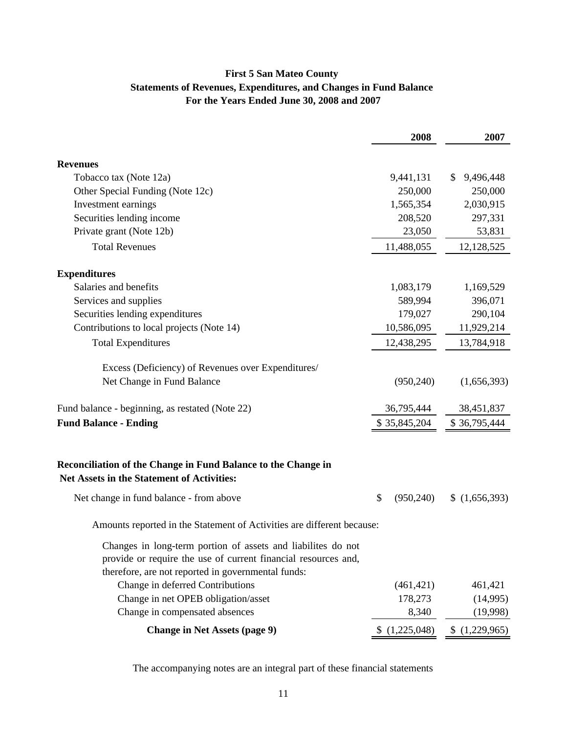## **First 5 San Mateo County Statements of Revenues, Expenditures, and Changes in Fund Balance For the Years Ended June 30, 2008 and 2007**

|                                                                                                                                                                                      | 2008             | 2007            |
|--------------------------------------------------------------------------------------------------------------------------------------------------------------------------------------|------------------|-----------------|
| <b>Revenues</b>                                                                                                                                                                      |                  |                 |
| Tobacco tax (Note 12a)                                                                                                                                                               | 9,441,131        | \$<br>9,496,448 |
| Other Special Funding (Note 12c)                                                                                                                                                     | 250,000          | 250,000         |
| Investment earnings                                                                                                                                                                  | 1,565,354        | 2,030,915       |
| Securities lending income                                                                                                                                                            | 208,520          | 297,331         |
| Private grant (Note 12b)                                                                                                                                                             | 23,050           | 53,831          |
| <b>Total Revenues</b>                                                                                                                                                                | 11,488,055       | 12,128,525      |
| <b>Expenditures</b>                                                                                                                                                                  |                  |                 |
| Salaries and benefits                                                                                                                                                                | 1,083,179        | 1,169,529       |
| Services and supplies                                                                                                                                                                | 589,994          | 396,071         |
| Securities lending expenditures                                                                                                                                                      | 179,027          | 290,104         |
| Contributions to local projects (Note 14)                                                                                                                                            | 10,586,095       | 11,929,214      |
| <b>Total Expenditures</b>                                                                                                                                                            | 12,438,295       | 13,784,918      |
| Excess (Deficiency) of Revenues over Expenditures/                                                                                                                                   |                  |                 |
| Net Change in Fund Balance                                                                                                                                                           | (950, 240)       | (1,656,393)     |
| Fund balance - beginning, as restated (Note 22)                                                                                                                                      | 36,795,444       | 38,451,837      |
| <b>Fund Balance - Ending</b>                                                                                                                                                         | \$35,845,204     | \$36,795,444    |
| Reconciliation of the Change in Fund Balance to the Change in<br><b>Net Assets in the Statement of Activities:</b>                                                                   |                  |                 |
| Net change in fund balance - from above                                                                                                                                              | \$<br>(950, 240) | (1,656,393)     |
| Amounts reported in the Statement of Activities are different because:                                                                                                               |                  |                 |
| Changes in long-term portion of assets and liabilites do not<br>provide or require the use of current financial resources and,<br>therefore, are not reported in governmental funds: |                  |                 |
| Change in deferred Contributions                                                                                                                                                     | (461, 421)       | 461,421         |
| Change in net OPEB obligation/asset                                                                                                                                                  | 178,273          | (14,995)        |
| Change in compensated absences                                                                                                                                                       | 8,340            | (19,998)        |
| <b>Change in Net Assets (page 9)</b>                                                                                                                                                 | (1,225,048)      | (1,229,965)     |

The accompanying notes are an integral part of these financial statements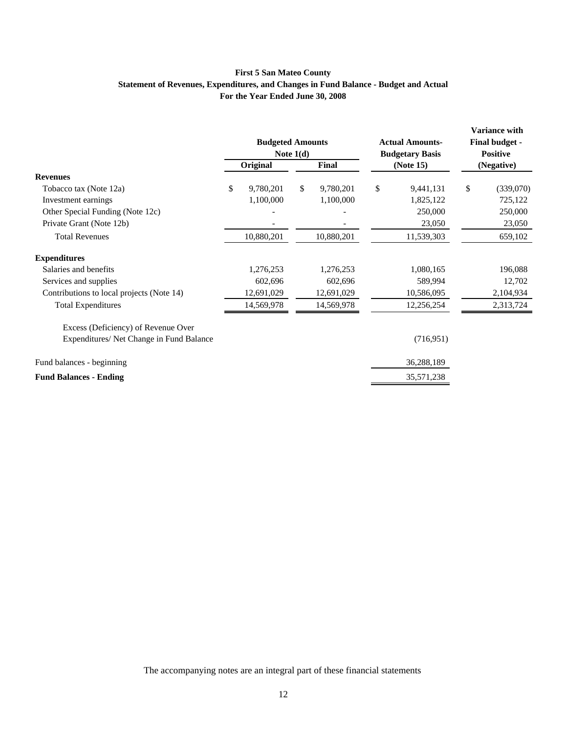## **First 5 San Mateo County Statement of Revenues, Expenditures, and Changes in Fund Balance - Budget and Actual For the Year Ended June 30, 2008**

|                                           | <b>Budgeted Amounts</b><br>Note $1(d)$ |            | <b>Actual Amounts-</b><br><b>Budgetary Basis</b> |    | <b>Variance with</b><br>Final budget -<br><b>Positive</b> |    |            |
|-------------------------------------------|----------------------------------------|------------|--------------------------------------------------|----|-----------------------------------------------------------|----|------------|
|                                           |                                        | Original   | Final                                            |    | (Note 15)                                                 |    | (Negative) |
| <b>Revenues</b>                           |                                        |            |                                                  |    |                                                           |    |            |
| Tobacco tax (Note 12a)                    | \$                                     | 9,780,201  | \$<br>9,780,201                                  | \$ | 9,441,131                                                 | \$ | (339,070)  |
| Investment earnings                       |                                        | 1,100,000  | 1,100,000                                        |    | 1,825,122                                                 |    | 725,122    |
| Other Special Funding (Note 12c)          |                                        |            |                                                  |    | 250,000                                                   |    | 250,000    |
| Private Grant (Note 12b)                  |                                        |            |                                                  |    | 23,050                                                    |    | 23,050     |
| <b>Total Revenues</b>                     |                                        | 10,880,201 | 10,880,201                                       |    | 11,539,303                                                |    | 659,102    |
| <b>Expenditures</b>                       |                                        |            |                                                  |    |                                                           |    |            |
| Salaries and benefits                     |                                        | 1,276,253  | 1,276,253                                        |    | 1,080,165                                                 |    | 196,088    |
| Services and supplies                     |                                        | 602,696    | 602,696                                          |    | 589,994                                                   |    | 12,702     |
| Contributions to local projects (Note 14) |                                        | 12,691,029 | 12,691,029                                       |    | 10,586,095                                                |    | 2,104,934  |
| <b>Total Expenditures</b>                 |                                        | 14,569,978 | 14,569,978                                       |    | 12,256,254                                                |    | 2,313,724  |
| Excess (Deficiency) of Revenue Over       |                                        |            |                                                  |    |                                                           |    |            |
| Expenditures/ Net Change in Fund Balance  |                                        |            |                                                  |    | (716, 951)                                                |    |            |
| Fund balances - beginning                 |                                        |            |                                                  |    | 36,288,189                                                |    |            |
| <b>Fund Balances - Ending</b>             |                                        |            |                                                  |    | 35,571,238                                                |    |            |

The accompanying notes are an integral part of these financial statements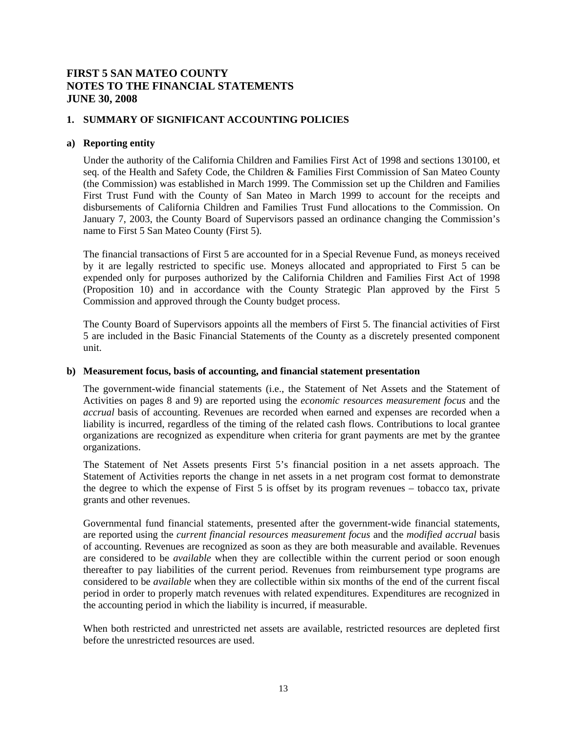## **1. SUMMARY OF SIGNIFICANT ACCOUNTING POLICIES**

### **a) Reporting entity**

Under the authority of the California Children and Families First Act of 1998 and sections 130100, et seq. of the Health and Safety Code, the Children & Families First Commission of San Mateo County (the Commission) was established in March 1999. The Commission set up the Children and Families First Trust Fund with the County of San Mateo in March 1999 to account for the receipts and disbursements of California Children and Families Trust Fund allocations to the Commission. On January 7, 2003, the County Board of Supervisors passed an ordinance changing the Commission's name to First 5 San Mateo County (First 5).

The financial transactions of First 5 are accounted for in a Special Revenue Fund, as moneys received by it are legally restricted to specific use. Moneys allocated and appropriated to First 5 can be expended only for purposes authorized by the California Children and Families First Act of 1998 (Proposition 10) and in accordance with the County Strategic Plan approved by the First 5 Commission and approved through the County budget process.

The County Board of Supervisors appoints all the members of First 5. The financial activities of First 5 are included in the Basic Financial Statements of the County as a discretely presented component unit.

### **b) Measurement focus, basis of accounting, and financial statement presentation**

The government-wide financial statements (i.e., the Statement of Net Assets and the Statement of Activities on pages 8 and 9) are reported using the *economic resources measurement focus* and the *accrual* basis of accounting. Revenues are recorded when earned and expenses are recorded when a liability is incurred, regardless of the timing of the related cash flows. Contributions to local grantee organizations are recognized as expenditure when criteria for grant payments are met by the grantee organizations.

The Statement of Net Assets presents First 5's financial position in a net assets approach. The Statement of Activities reports the change in net assets in a net program cost format to demonstrate the degree to which the expense of First 5 is offset by its program revenues – tobacco tax, private grants and other revenues.

Governmental fund financial statements, presented after the government-wide financial statements, are reported using the *current financial resources measurement focus* and the *modified accrual* basis of accounting. Revenues are recognized as soon as they are both measurable and available. Revenues are considered to be *available* when they are collectible within the current period or soon enough thereafter to pay liabilities of the current period. Revenues from reimbursement type programs are considered to be *available* when they are collectible within six months of the end of the current fiscal period in order to properly match revenues with related expenditures. Expenditures are recognized in the accounting period in which the liability is incurred, if measurable.

When both restricted and unrestricted net assets are available, restricted resources are depleted first before the unrestricted resources are used.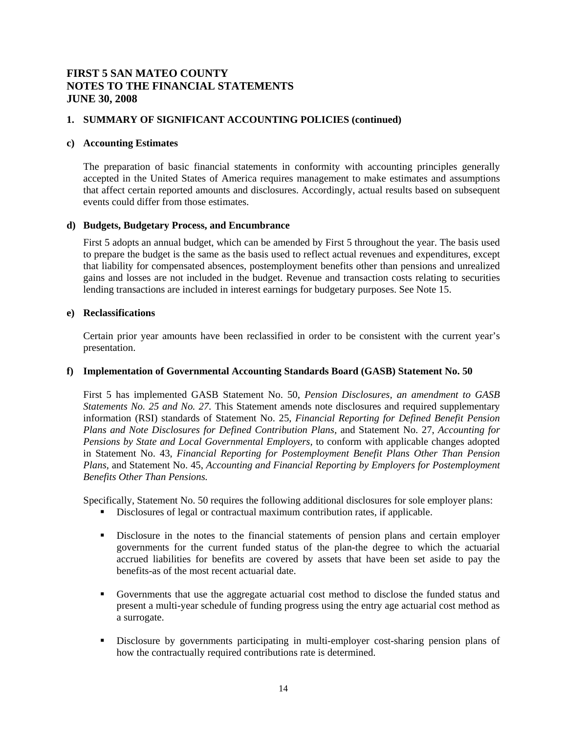## **1. SUMMARY OF SIGNIFICANT ACCOUNTING POLICIES (continued)**

### **c) Accounting Estimates**

The preparation of basic financial statements in conformity with accounting principles generally accepted in the United States of America requires management to make estimates and assumptions that affect certain reported amounts and disclosures. Accordingly, actual results based on subsequent events could differ from those estimates.

### **d) Budgets, Budgetary Process, and Encumbrance**

First 5 adopts an annual budget, which can be amended by First 5 throughout the year. The basis used to prepare the budget is the same as the basis used to reflect actual revenues and expenditures, except that liability for compensated absences, postemployment benefits other than pensions and unrealized gains and losses are not included in the budget. Revenue and transaction costs relating to securities lending transactions are included in interest earnings for budgetary purposes. See Note 15.

### **e) Reclassifications**

Certain prior year amounts have been reclassified in order to be consistent with the current year's presentation.

### **f) Implementation of Governmental Accounting Standards Board (GASB) Statement No. 50**

First 5 has implemented GASB Statement No. 50, *Pension Disclosures, an amendment to GASB Statements No. 25 and No. 27.* This Statement amends note disclosures and required supplementary information (RSI) standards of Statement No. 25, *Financial Reporting for Defined Benefit Pension Plans and Note Disclosures for Defined Contribution Plans,* and Statement No. 27, *Accounting for Pensions by State and Local Governmental Employers,* to conform with applicable changes adopted in Statement No. 43, *Financial Reporting for Postemployment Benefit Plans Other Than Pension Plans,* and Statement No. 45, *Accounting and Financial Reporting by Employers for Postemployment Benefits Other Than Pensions.* 

Specifically, Statement No. 50 requires the following additional disclosures for sole employer plans:

- Disclosures of legal or contractual maximum contribution rates, if applicable.
- Disclosure in the notes to the financial statements of pension plans and certain employer governments for the current funded status of the plan-the degree to which the actuarial accrued liabilities for benefits are covered by assets that have been set aside to pay the benefits-as of the most recent actuarial date.
- Governments that use the aggregate actuarial cost method to disclose the funded status and present a multi-year schedule of funding progress using the entry age actuarial cost method as a surrogate.
- Disclosure by governments participating in multi-employer cost-sharing pension plans of how the contractually required contributions rate is determined.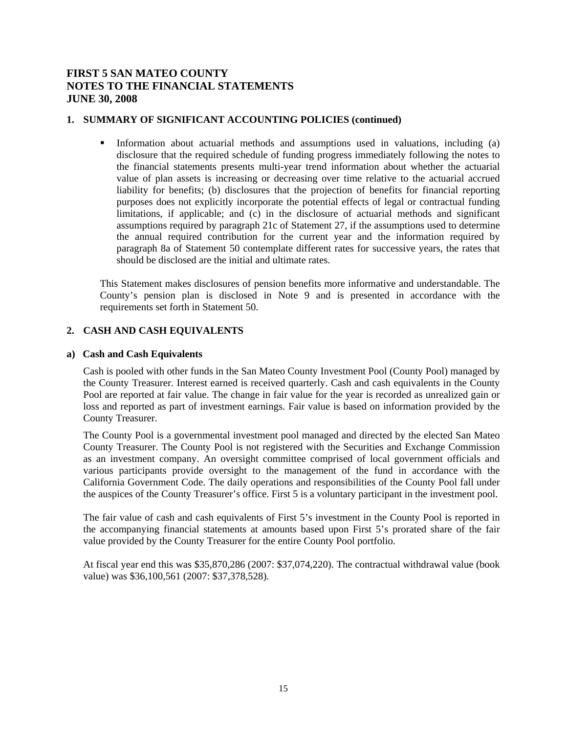## **1. SUMMARY OF SIGNIFICANT ACCOUNTING POLICIES (continued)**

Information about actuarial methods and assumptions used in valuations, including (a) disclosure that the required schedule of funding progress immediately following the notes to the financial statements presents multi-year trend information about whether the actuarial value of plan assets is increasing or decreasing over time relative to the actuarial accrued liability for benefits; (b) disclosures that the projection of benefits for financial reporting purposes does not explicitly incorporate the potential effects of legal or contractual funding limitations, if applicable; and (c) in the disclosure of actuarial methods and significant assumptions required by paragraph 21c of Statement 27, if the assumptions used to determine the annual required contribution for the current year and the information required by paragraph 8a of Statement 50 contemplate different rates for successive years, the rates that should be disclosed are the initial and ultimate rates.

This Statement makes disclosures of pension benefits more informative and understandable. The County's pension plan is disclosed in Note 9 and is presented in accordance with the requirements set forth in Statement 50.

## **2. CASH AND CASH EQUIVALENTS**

## **a) Cash and Cash Equivalents**

Cash is pooled with other funds in the San Mateo County Investment Pool (County Pool) managed by the County Treasurer. Interest earned is received quarterly. Cash and cash equivalents in the County Pool are reported at fair value. The change in fair value for the year is recorded as unrealized gain or loss and reported as part of investment earnings. Fair value is based on information provided by the County Treasurer.

The County Pool is a governmental investment pool managed and directed by the elected San Mateo County Treasurer. The County Pool is not registered with the Securities and Exchange Commission as an investment company. An oversight committee comprised of local government officials and various participants provide oversight to the management of the fund in accordance with the California Government Code. The daily operations and responsibilities of the County Pool fall under the auspices of the County Treasurer's office. First 5 is a voluntary participant in the investment pool.

The fair value of cash and cash equivalents of First 5's investment in the County Pool is reported in the accompanying financial statements at amounts based upon First 5's prorated share of the fair value provided by the County Treasurer for the entire County Pool portfolio.

At fiscal year end this was \$35,870,286 (2007: \$37,074,220). The contractual withdrawal value (book value) was \$36,100,561 (2007: \$37,378,528).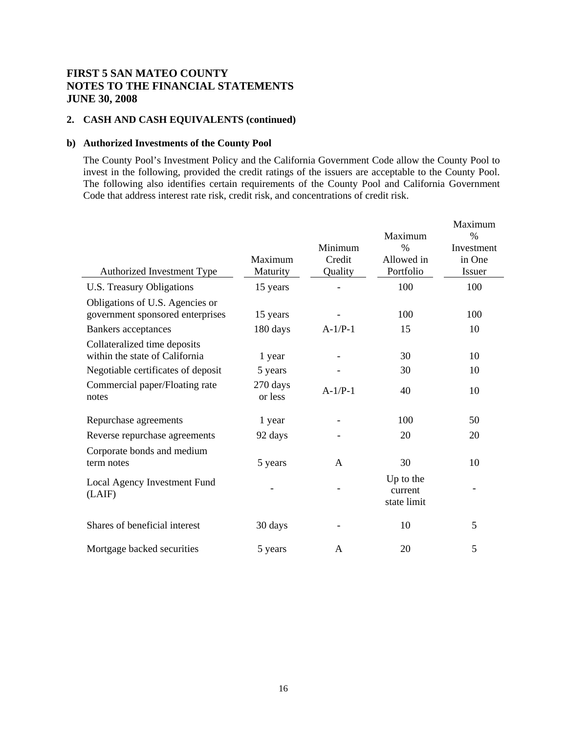## **2. CASH AND CASH EQUIVALENTS (continued)**

## **b) Authorized Investments of the County Pool**

The County Pool's Investment Policy and the California Government Code allow the County Pool to invest in the following, provided the credit ratings of the issuers are acceptable to the County Pool. The following also identifies certain requirements of the County Pool and California Government Code that address interest rate risk, credit risk, and concentrations of credit risk.

|                                                                     | Maximum             | Minimum<br>Credit | Maximum<br>$\%$<br>Allowed in       | Maximum<br>$\%$<br>Investment<br>in One |
|---------------------------------------------------------------------|---------------------|-------------------|-------------------------------------|-----------------------------------------|
| Authorized Investment Type                                          | Maturity            | Quality           | Portfolio                           | Issuer                                  |
| U.S. Treasury Obligations                                           | 15 years            |                   | 100                                 | 100                                     |
| Obligations of U.S. Agencies or<br>government sponsored enterprises | 15 years            |                   | 100                                 | 100                                     |
| <b>Bankers</b> acceptances                                          | 180 days            | $A-1/P-1$         | 15                                  | 10                                      |
| Collateralized time deposits<br>within the state of California      | 1 year              |                   | 30                                  | 10                                      |
| Negotiable certificates of deposit                                  | 5 years             |                   | 30                                  | 10                                      |
| Commercial paper/Floating rate<br>notes                             | 270 days<br>or less | $A-1/P-1$         | 40                                  | 10                                      |
| Repurchase agreements                                               | 1 year              |                   | 100                                 | 50                                      |
| Reverse repurchase agreements                                       | 92 days             |                   | 20                                  | 20                                      |
| Corporate bonds and medium<br>term notes                            | 5 years             | A                 | 30                                  | 10                                      |
| Local Agency Investment Fund<br>(LAIF)                              |                     |                   | Up to the<br>current<br>state limit |                                         |
| Shares of beneficial interest                                       | 30 days             |                   | 10                                  | 5                                       |
| Mortgage backed securities                                          | 5 years             | A                 | 20                                  | 5                                       |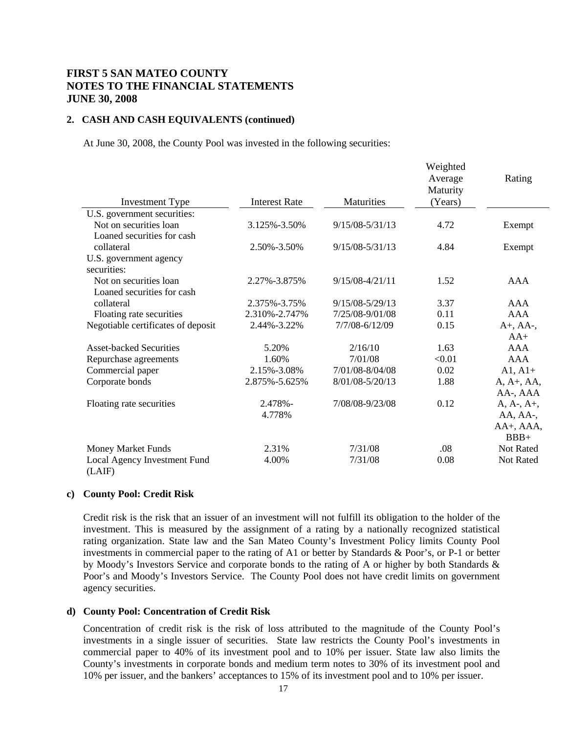### **2. CASH AND CASH EQUIVALENTS (continued)**

At June 30, 2008, the County Pool was invested in the following securities:

|                                        |                      |                     | Weighted<br>Average<br>Maturity | Rating         |
|----------------------------------------|----------------------|---------------------|---------------------------------|----------------|
| <b>Investment Type</b>                 | <b>Interest Rate</b> | <b>Maturities</b>   | (Years)                         |                |
| U.S. government securities:            |                      |                     |                                 |                |
| Not on securities loan                 | 3.125%-3.50%         | $9/15/08 - 5/31/13$ | 4.72                            | Exempt         |
| Loaned securities for cash             |                      |                     |                                 |                |
| collateral                             | 2.50%-3.50%          | $9/15/08 - 5/31/13$ | 4.84                            | Exempt         |
| U.S. government agency                 |                      |                     |                                 |                |
| securities:                            |                      |                     |                                 |                |
| Not on securities loan                 | 2.27%-3.875%         | $9/15/08 - 4/21/11$ | 1.52                            | AAA            |
| Loaned securities for cash             |                      |                     |                                 |                |
| collateral                             | 2.375%-3.75%         | $9/15/08 - 5/29/13$ | 3.37                            | AAA            |
| Floating rate securities               | 2.310%-2.747%        | 7/25/08-9/01/08     | 0.11                            | <b>AAA</b>     |
| Negotiable certificates of deposit     | 2.44%-3.22%          | 7/7/08-6/12/09      | 0.15                            | $A+$ , $AA-$ , |
|                                        |                      |                     |                                 | $AA+$          |
| <b>Asset-backed Securities</b>         | 5.20%                | 2/16/10             | 1.63                            | AAA            |
| Repurchase agreements                  | 1.60%                | 7/01/08             | < 0.01                          | AAA            |
| Commercial paper                       | 2.15%-3.08%          | 7/01/08-8/04/08     | 0.02                            | $A1, A1+$      |
| Corporate bonds                        | 2.875%-5.625%        | 8/01/08-5/20/13     | 1.88                            | $A, A+, AA,$   |
|                                        |                      |                     |                                 | AA-, AAA       |
| Floating rate securities               | 2.478%-              | 7/08/08-9/23/08     | 0.12                            | $A, A-, A+,$   |
|                                        | 4.778%               |                     |                                 | AA, AA-,       |
|                                        |                      |                     |                                 | AA+, AAA,      |
|                                        |                      |                     |                                 | $BBB+$         |
| <b>Money Market Funds</b>              | 2.31%                | 7/31/08             | .08                             | Not Rated      |
| Local Agency Investment Fund<br>(LAIF) | 4.00%                | 7/31/08             | 0.08                            | Not Rated      |

### **c) County Pool: Credit Risk**

Credit risk is the risk that an issuer of an investment will not fulfill its obligation to the holder of the investment. This is measured by the assignment of a rating by a nationally recognized statistical rating organization. State law and the San Mateo County's Investment Policy limits County Pool investments in commercial paper to the rating of A1 or better by Standards & Poor's, or P-1 or better by Moody's Investors Service and corporate bonds to the rating of A or higher by both Standards & Poor's and Moody's Investors Service. The County Pool does not have credit limits on government agency securities.

#### **d) County Pool: Concentration of Credit Risk**

Concentration of credit risk is the risk of loss attributed to the magnitude of the County Pool's investments in a single issuer of securities. State law restricts the County Pool's investments in commercial paper to 40% of its investment pool and to 10% per issuer. State law also limits the County's investments in corporate bonds and medium term notes to 30% of its investment pool and 10% per issuer, and the bankers' acceptances to 15% of its investment pool and to 10% per issuer.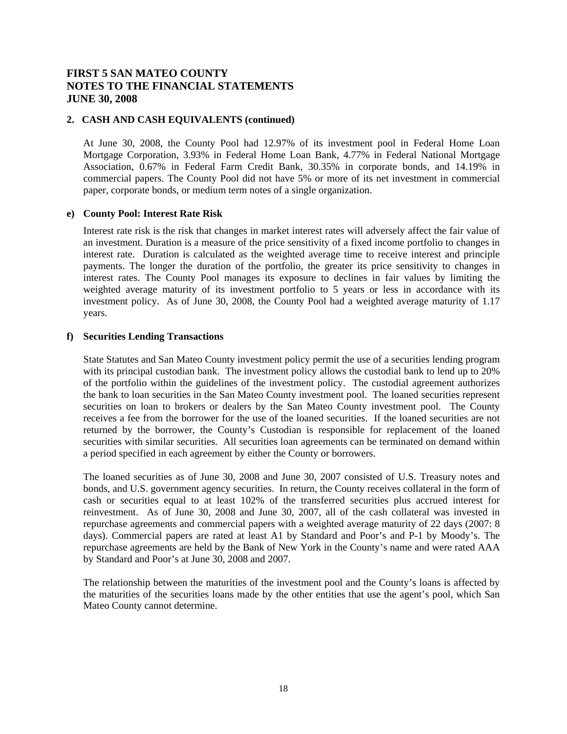### **2. CASH AND CASH EQUIVALENTS (continued)**

At June 30, 2008, the County Pool had 12.97% of its investment pool in Federal Home Loan Mortgage Corporation, 3.93% in Federal Home Loan Bank, 4.77% in Federal National Mortgage Association, 0.67% in Federal Farm Credit Bank, 30.35% in corporate bonds, and 14.19% in commercial papers. The County Pool did not have 5% or more of its net investment in commercial paper, corporate bonds, or medium term notes of a single organization.

#### **e) County Pool: Interest Rate Risk**

Interest rate risk is the risk that changes in market interest rates will adversely affect the fair value of an investment. Duration is a measure of the price sensitivity of a fixed income portfolio to changes in interest rate. Duration is calculated as the weighted average time to receive interest and principle payments. The longer the duration of the portfolio, the greater its price sensitivity to changes in interest rates. The County Pool manages its exposure to declines in fair values by limiting the weighted average maturity of its investment portfolio to 5 years or less in accordance with its investment policy. As of June 30, 2008, the County Pool had a weighted average maturity of 1.17 years.

### **f) Securities Lending Transactions**

State Statutes and San Mateo County investment policy permit the use of a securities lending program with its principal custodian bank. The investment policy allows the custodial bank to lend up to 20% of the portfolio within the guidelines of the investment policy. The custodial agreement authorizes the bank to loan securities in the San Mateo County investment pool. The loaned securities represent securities on loan to brokers or dealers by the San Mateo County investment pool. The County receives a fee from the borrower for the use of the loaned securities. If the loaned securities are not returned by the borrower, the County's Custodian is responsible for replacement of the loaned securities with similar securities. All securities loan agreements can be terminated on demand within a period specified in each agreement by either the County or borrowers.

The loaned securities as of June 30, 2008 and June 30, 2007 consisted of U.S. Treasury notes and bonds, and U.S. government agency securities. In return, the County receives collateral in the form of cash or securities equal to at least 102% of the transferred securities plus accrued interest for reinvestment. As of June 30, 2008 and June 30, 2007, all of the cash collateral was invested in repurchase agreements and commercial papers with a weighted average maturity of 22 days (2007: 8 days). Commercial papers are rated at least A1 by Standard and Poor's and P-1 by Moody's. The repurchase agreements are held by the Bank of New York in the County's name and were rated AAA by Standard and Poor's at June 30, 2008 and 2007.

The relationship between the maturities of the investment pool and the County's loans is affected by the maturities of the securities loans made by the other entities that use the agent's pool, which San Mateo County cannot determine.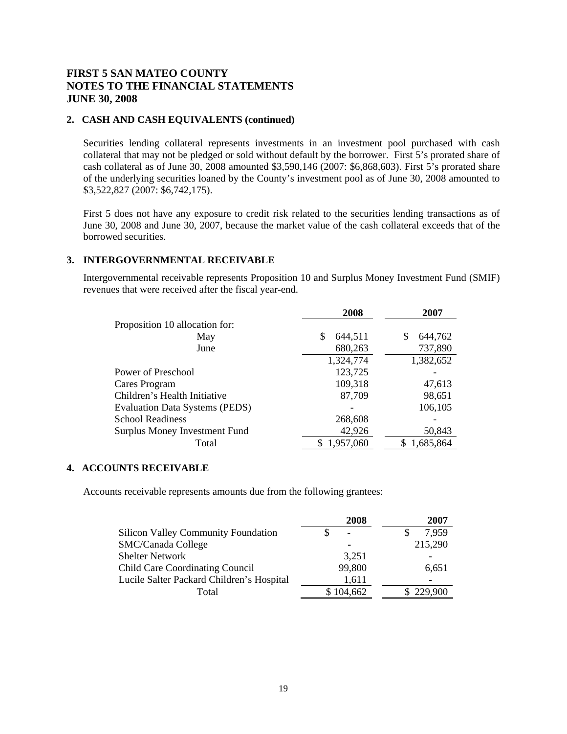## **2. CASH AND CASH EQUIVALENTS (continued)**

Securities lending collateral represents investments in an investment pool purchased with cash collateral that may not be pledged or sold without default by the borrower. First 5's prorated share of cash collateral as of June 30, 2008 amounted  $$3,590,146$  (2007: \$6,868,603). First 5's prorated share of the underlying securities loaned by the County's investment pool as of June 30, 2008 amounted to \$3,522,827 (2007: \$6,742,175).

First 5 does not have any exposure to credit risk related to the securities lending transactions as of June 30, 2008 and June 30, 2007, because the market value of the cash collateral exceeds that of the borrowed securities.

## **3. INTERGOVERNMENTAL RECEIVABLE**

 Intergovernmental receivable represents Proposition 10 and Surplus Money Investment Fund (SMIF) revenues that were received after the fiscal year-end.

|                                       | 2008         | 2007            |
|---------------------------------------|--------------|-----------------|
| Proposition 10 allocation for:        |              |                 |
| May                                   | S<br>644,511 | 644,762<br>S    |
| June                                  | 680,263      | 737,890         |
|                                       | 1,324,774    | 1,382,652       |
| Power of Preschool                    | 123,725      |                 |
| Cares Program                         | 109,318      | 47,613          |
| Children's Health Initiative          | 87,709       | 98,651          |
| <b>Evaluation Data Systems (PEDS)</b> |              | 106,105         |
| <b>School Readiness</b>               | 268,608      |                 |
| <b>Surplus Money Investment Fund</b>  | 42,926       | 50,843          |
| Total                                 | 1,957,060    | 1,685,864<br>S. |

#### **4. ACCOUNTS RECEIVABLE**

Accounts receivable represents amounts due from the following grantees:

|                                            | 2008      | 2007      |
|--------------------------------------------|-----------|-----------|
| <b>Silicon Valley Community Foundation</b> |           | 7,959     |
| <b>SMC/Canada College</b>                  | -         | 215,290   |
| <b>Shelter Network</b>                     | 3,251     |           |
| <b>Child Care Coordinating Council</b>     | 99,800    | 6,651     |
| Lucile Salter Packard Children's Hospital  | 1,611     |           |
| Total                                      | \$104,662 | \$229,900 |
|                                            |           |           |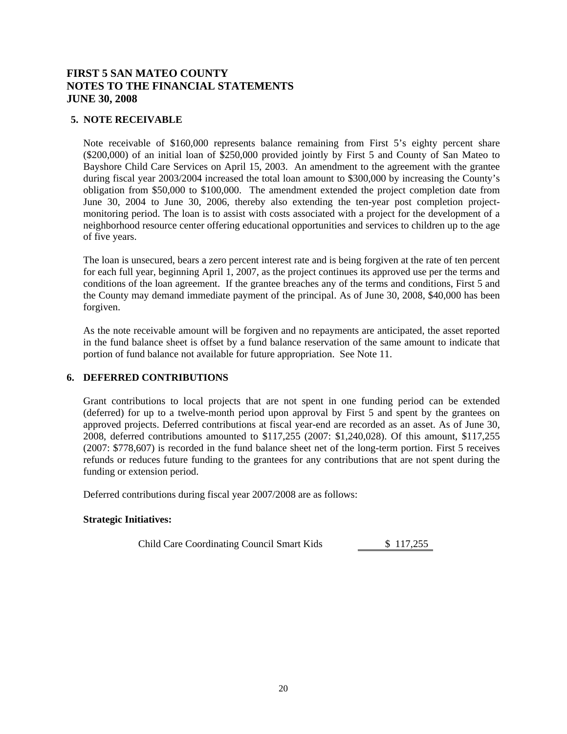## **5. NOTE RECEIVABLE**

Note receivable of \$160,000 represents balance remaining from First 5's eighty percent share (\$200,000) of an initial loan of \$250,000 provided jointly by First 5 and County of San Mateo to Bayshore Child Care Services on April 15, 2003. An amendment to the agreement with the grantee during fiscal year 2003/2004 increased the total loan amount to \$300,000 by increasing the County's obligation from \$50,000 to \$100,000. The amendment extended the project completion date from June 30, 2004 to June 30, 2006, thereby also extending the ten-year post completion projectmonitoring period. The loan is to assist with costs associated with a project for the development of a neighborhood resource center offering educational opportunities and services to children up to the age of five years.

The loan is unsecured, bears a zero percent interest rate and is being forgiven at the rate of ten percent for each full year, beginning April 1, 2007, as the project continues its approved use per the terms and conditions of the loan agreement. If the grantee breaches any of the terms and conditions, First 5 and the County may demand immediate payment of the principal. As of June 30, 2008, \$40,000 has been forgiven.

As the note receivable amount will be forgiven and no repayments are anticipated, the asset reported in the fund balance sheet is offset by a fund balance reservation of the same amount to indicate that portion of fund balance not available for future appropriation. See Note 11.

## **6. DEFERRED CONTRIBUTIONS**

Grant contributions to local projects that are not spent in one funding period can be extended (deferred) for up to a twelve-month period upon approval by First 5 and spent by the grantees on approved projects. Deferred contributions at fiscal year-end are recorded as an asset. As of June 30, 2008, deferred contributions amounted to \$117,255 (2007: \$1,240,028). Of this amount, \$117,255 (2007: \$778,607) is recorded in the fund balance sheet net of the long-term portion. First 5 receives refunds or reduces future funding to the grantees for any contributions that are not spent during the funding or extension period.

Deferred contributions during fiscal year 2007/2008 are as follows:

## **Strategic Initiatives:**

Child Care Coordinating Council Smart Kids \$ 117,255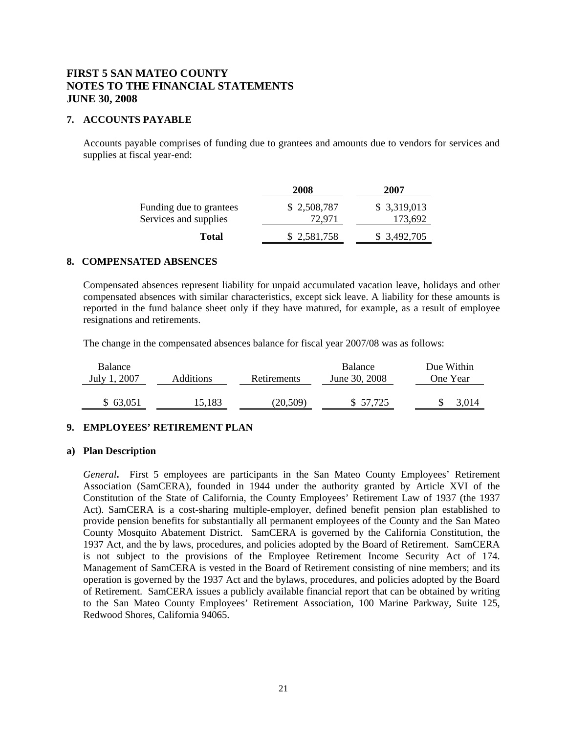## **7. ACCOUNTS PAYABLE**

Accounts payable comprises of funding due to grantees and amounts due to vendors for services and supplies at fiscal year-end:

|                                                  | 2008                  | 2007                    |
|--------------------------------------------------|-----------------------|-------------------------|
| Funding due to grantees<br>Services and supplies | \$2,508,787<br>72,971 | \$ 3,319,013<br>173,692 |
| <b>Total</b>                                     | \$2,581,758           | \$ 3,492,705            |

## **8. COMPENSATED ABSENCES**

Compensated absences represent liability for unpaid accumulated vacation leave, holidays and other compensated absences with similar characteristics, except sick leave. A liability for these amounts is reported in the fund balance sheet only if they have matured, for example, as a result of employee resignations and retirements.

The change in the compensated absences balance for fiscal year 2007/08 was as follows:

| <b>Balance</b><br>July 1, 2007 | Additions | Retirements | <b>Balance</b><br>June 30, 2008 | Due Within<br>One Year |
|--------------------------------|-----------|-------------|---------------------------------|------------------------|
| \$63,051                       | 15,183    | (20,509)    | \$57,725                        |                        |

## **9. EMPLOYEES' RETIREMENT PLAN**

#### **a) Plan Description**

*General***.** First 5 employees are participants in the San Mateo County Employees' Retirement Association (SamCERA), founded in 1944 under the authority granted by Article XVI of the Constitution of the State of California, the County Employees' Retirement Law of 1937 (the 1937 Act). SamCERA is a cost-sharing multiple-employer, defined benefit pension plan established to provide pension benefits for substantially all permanent employees of the County and the San Mateo County Mosquito Abatement District. SamCERA is governed by the California Constitution, the 1937 Act, and the by laws, procedures, and policies adopted by the Board of Retirement. SamCERA is not subject to the provisions of the Employee Retirement Income Security Act of 174. Management of SamCERA is vested in the Board of Retirement consisting of nine members; and its operation is governed by the 1937 Act and the bylaws, procedures, and policies adopted by the Board of Retirement. SamCERA issues a publicly available financial report that can be obtained by writing to the San Mateo County Employees' Retirement Association, 100 Marine Parkway, Suite 125, Redwood Shores, California 94065.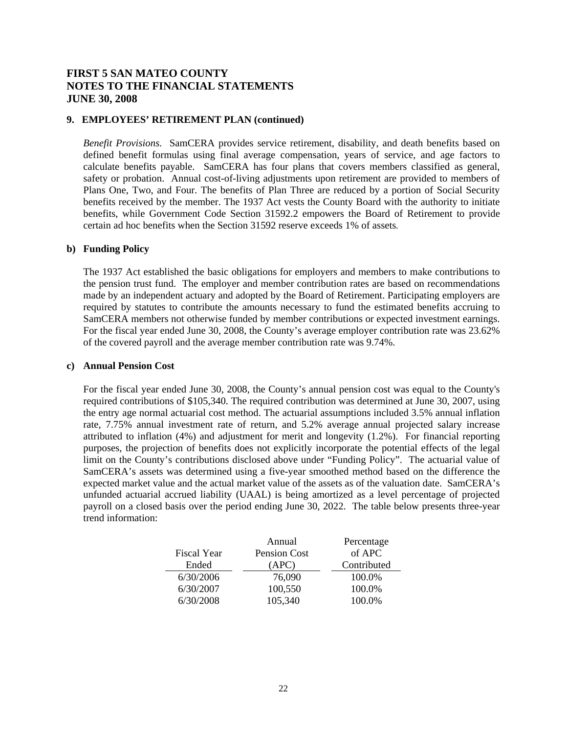## **9. EMPLOYEES' RETIREMENT PLAN (continued)**

*Benefit Provisions*. SamCERA provides service retirement, disability, and death benefits based on defined benefit formulas using final average compensation, years of service, and age factors to calculate benefits payable. SamCERA has four plans that covers members classified as general, safety or probation. Annual cost-of-living adjustments upon retirement are provided to members of Plans One, Two, and Four. The benefits of Plan Three are reduced by a portion of Social Security benefits received by the member. The 1937 Act vests the County Board with the authority to initiate benefits, while Government Code Section 31592.2 empowers the Board of Retirement to provide certain ad hoc benefits when the Section 31592 reserve exceeds 1% of assets.

#### **b) Funding Policy**

The 1937 Act established the basic obligations for employers and members to make contributions to the pension trust fund. The employer and member contribution rates are based on recommendations made by an independent actuary and adopted by the Board of Retirement. Participating employers are required by statutes to contribute the amounts necessary to fund the estimated benefits accruing to SamCERA members not otherwise funded by member contributions or expected investment earnings. For the fiscal year ended June 30, 2008, the County's average employer contribution rate was 23.62% of the covered payroll and the average member contribution rate was 9.74%.

#### **c) Annual Pension Cost**

For the fiscal year ended June 30, 2008, the County's annual pension cost was equal to the County's required contributions of \$105,340. The required contribution was determined at June 30, 2007, using the entry age normal actuarial cost method. The actuarial assumptions included 3.5% annual inflation rate, 7.75% annual investment rate of return, and 5.2% average annual projected salary increase attributed to inflation (4%) and adjustment for merit and longevity (1.2%). For financial reporting purposes, the projection of benefits does not explicitly incorporate the potential effects of the legal limit on the County's contributions disclosed above under "Funding Policy". The actuarial value of SamCERA's assets was determined using a five-year smoothed method based on the difference the expected market value and the actual market value of the assets as of the valuation date. SamCERA's unfunded actuarial accrued liability (UAAL) is being amortized as a level percentage of projected payroll on a closed basis over the period ending June 30, 2022. The table below presents three-year trend information:

|                    | Annual       | Percentage  |
|--------------------|--------------|-------------|
| <b>Fiscal Year</b> | Pension Cost | of APC      |
| Ended              | (APC)        | Contributed |
| 6/30/2006          | 76,090       | 100.0%      |
| 6/30/2007          | 100,550      | 100.0%      |
| 6/30/2008          | 105,340      | 100.0%      |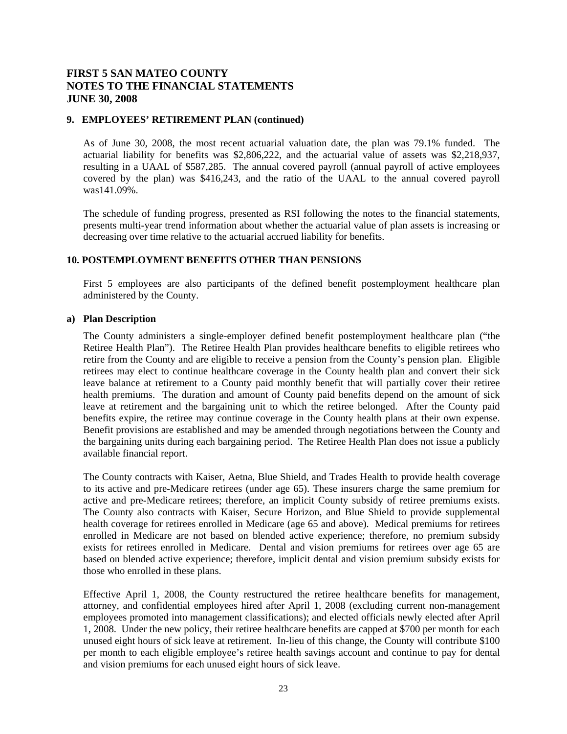### **9. EMPLOYEES' RETIREMENT PLAN (continued)**

As of June 30, 2008, the most recent actuarial valuation date, the plan was 79.1% funded. The actuarial liability for benefits was \$2,806,222, and the actuarial value of assets was \$2,218,937, resulting in a UAAL of \$587,285. The annual covered payroll (annual payroll of active employees covered by the plan) was \$416,243, and the ratio of the UAAL to the annual covered payroll was141.09%.

 The schedule of funding progress, presented as RSI following the notes to the financial statements, presents multi-year trend information about whether the actuarial value of plan assets is increasing or decreasing over time relative to the actuarial accrued liability for benefits.

## **10. POSTEMPLOYMENT BENEFITS OTHER THAN PENSIONS**

First 5 employees are also participants of the defined benefit postemployment healthcare plan administered by the County.

#### **a) Plan Description**

The County administers a single-employer defined benefit postemployment healthcare plan ("the Retiree Health Plan"). The Retiree Health Plan provides healthcare benefits to eligible retirees who retire from the County and are eligible to receive a pension from the County's pension plan. Eligible retirees may elect to continue healthcare coverage in the County health plan and convert their sick leave balance at retirement to a County paid monthly benefit that will partially cover their retiree health premiums. The duration and amount of County paid benefits depend on the amount of sick leave at retirement and the bargaining unit to which the retiree belonged. After the County paid benefits expire, the retiree may continue coverage in the County health plans at their own expense. Benefit provisions are established and may be amended through negotiations between the County and the bargaining units during each bargaining period. The Retiree Health Plan does not issue a publicly available financial report.

The County contracts with Kaiser, Aetna, Blue Shield, and Trades Health to provide health coverage to its active and pre-Medicare retirees (under age 65). These insurers charge the same premium for active and pre-Medicare retirees; therefore, an implicit County subsidy of retiree premiums exists. The County also contracts with Kaiser, Secure Horizon, and Blue Shield to provide supplemental health coverage for retirees enrolled in Medicare (age 65 and above). Medical premiums for retirees enrolled in Medicare are not based on blended active experience; therefore, no premium subsidy exists for retirees enrolled in Medicare. Dental and vision premiums for retirees over age 65 are based on blended active experience; therefore, implicit dental and vision premium subsidy exists for those who enrolled in these plans.

Effective April 1, 2008, the County restructured the retiree healthcare benefits for management, attorney, and confidential employees hired after April 1, 2008 (excluding current non-management employees promoted into management classifications); and elected officials newly elected after April 1, 2008. Under the new policy, their retiree healthcare benefits are capped at \$700 per month for each unused eight hours of sick leave at retirement. In-lieu of this change, the County will contribute \$100 per month to each eligible employee's retiree health savings account and continue to pay for dental and vision premiums for each unused eight hours of sick leave.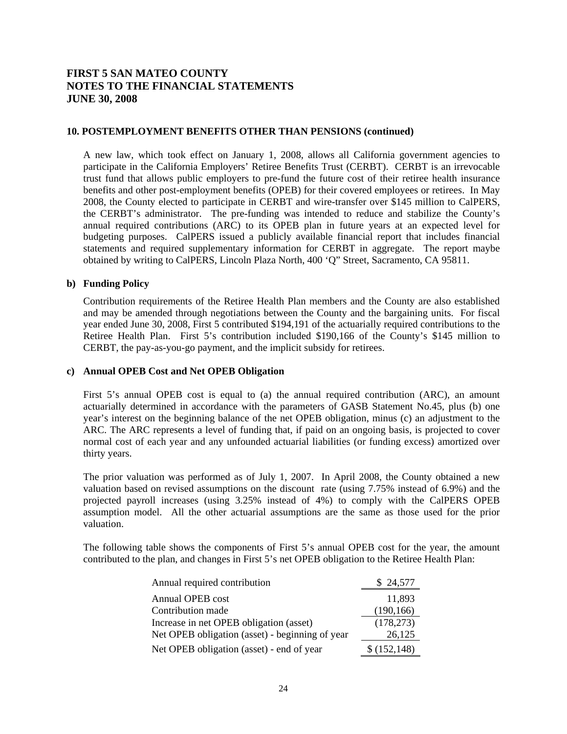### **10. POSTEMPLOYMENT BENEFITS OTHER THAN PENSIONS (continued)**

A new law, which took effect on January 1, 2008, allows all California government agencies to participate in the California Employers' Retiree Benefits Trust (CERBT). CERBT is an irrevocable trust fund that allows public employers to pre-fund the future cost of their retiree health insurance benefits and other post-employment benefits (OPEB) for their covered employees or retirees. In May 2008, the County elected to participate in CERBT and wire-transfer over \$145 million to CalPERS, the CERBT's administrator. The pre-funding was intended to reduce and stabilize the County's annual required contributions (ARC) to its OPEB plan in future years at an expected level for budgeting purposes. CalPERS issued a publicly available financial report that includes financial statements and required supplementary information for CERBT in aggregate. The report maybe obtained by writing to CalPERS, Lincoln Plaza North, 400 'Q" Street, Sacramento, CA 95811.

### **b) Funding Policy**

Contribution requirements of the Retiree Health Plan members and the County are also established and may be amended through negotiations between the County and the bargaining units. For fiscal year ended June 30, 2008, First 5 contributed \$194,191 of the actuarially required contributions to the Retiree Health Plan. First 5's contribution included \$190,166 of the County's \$145 million to CERBT, the pay-as-you-go payment, and the implicit subsidy for retirees.

### **c) Annual OPEB Cost and Net OPEB Obligation**

First 5's annual OPEB cost is equal to (a) the annual required contribution (ARC), an amount actuarially determined in accordance with the parameters of GASB Statement No.45, plus (b) one year's interest on the beginning balance of the net OPEB obligation, minus (c) an adjustment to the ARC. The ARC represents a level of funding that, if paid on an ongoing basis, is projected to cover normal cost of each year and any unfounded actuarial liabilities (or funding excess) amortized over thirty years.

The prior valuation was performed as of July 1, 2007. In April 2008, the County obtained a new valuation based on revised assumptions on the discount rate (using 7.75% instead of 6.9%) and the projected payroll increases (using 3.25% instead of 4%) to comply with the CalPERS OPEB assumption model. All the other actuarial assumptions are the same as those used for the prior valuation.

The following table shows the components of First 5's annual OPEB cost for the year, the amount contributed to the plan, and changes in First 5's net OPEB obligation to the Retiree Health Plan:

| Annual required contribution                    | \$ 24,577    |
|-------------------------------------------------|--------------|
| Annual OPEB cost                                | 11,893       |
| Contribution made                               | (190, 166)   |
| Increase in net OPEB obligation (asset)         | (178, 273)   |
| Net OPEB obligation (asset) - beginning of year | 26,125       |
| Net OPEB obligation (asset) - end of year       | \$(152, 148) |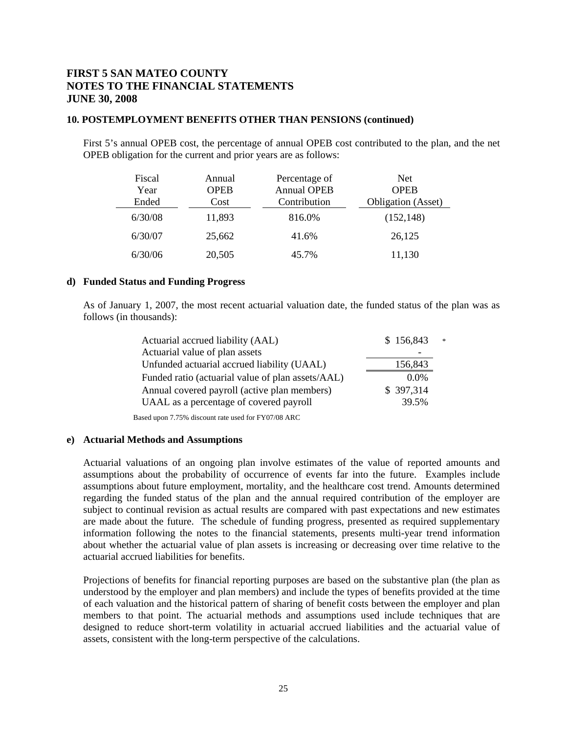### **10. POSTEMPLOYMENT BENEFITS OTHER THAN PENSIONS (continued)**

First 5's annual OPEB cost, the percentage of annual OPEB cost contributed to the plan, and the net OPEB obligation for the current and prior years are as follows:

| Fiscal<br>Year<br>Ended | Annual<br><b>OPEB</b><br>Cost | Percentage of<br><b>Annual OPEB</b><br>Contribution | <b>Net</b><br><b>OPEB</b><br><b>Obligation</b> (Asset) |
|-------------------------|-------------------------------|-----------------------------------------------------|--------------------------------------------------------|
| 6/30/08                 | 11,893                        | 816.0%                                              | (152, 148)                                             |
| 6/30/07                 | 25,662                        | 41.6%                                               | 26,125                                                 |
| 6/30/06                 | 20,505                        | 45.7%                                               | 11,130                                                 |

#### **d) Funded Status and Funding Progress**

As of January 1, 2007, the most recent actuarial valuation date, the funded status of the plan was as follows (in thousands):

| Actuarial accrued liability (AAL)                 | \$156,843<br>$\pm$ |  |
|---------------------------------------------------|--------------------|--|
| Actuarial value of plan assets                    |                    |  |
| Unfunded actuarial accrued liability (UAAL)       | 156,843            |  |
| Funded ratio (actuarial value of plan assets/AAL) | 0.0%               |  |
| Annual covered payroll (active plan members)      | \$397,314          |  |
| UAAL as a percentage of covered payroll           | 39.5%              |  |
|                                                   |                    |  |

Based upon 7.75% discount rate used for FY07/08 ARC

#### **e) Actuarial Methods and Assumptions**

Actuarial valuations of an ongoing plan involve estimates of the value of reported amounts and assumptions about the probability of occurrence of events far into the future. Examples include assumptions about future employment, mortality, and the healthcare cost trend. Amounts determined regarding the funded status of the plan and the annual required contribution of the employer are subject to continual revision as actual results are compared with past expectations and new estimates are made about the future. The schedule of funding progress, presented as required supplementary information following the notes to the financial statements, presents multi-year trend information about whether the actuarial value of plan assets is increasing or decreasing over time relative to the actuarial accrued liabilities for benefits.

Projections of benefits for financial reporting purposes are based on the substantive plan (the plan as understood by the employer and plan members) and include the types of benefits provided at the time of each valuation and the historical pattern of sharing of benefit costs between the employer and plan members to that point. The actuarial methods and assumptions used include techniques that are designed to reduce short-term volatility in actuarial accrued liabilities and the actuarial value of assets, consistent with the long-term perspective of the calculations.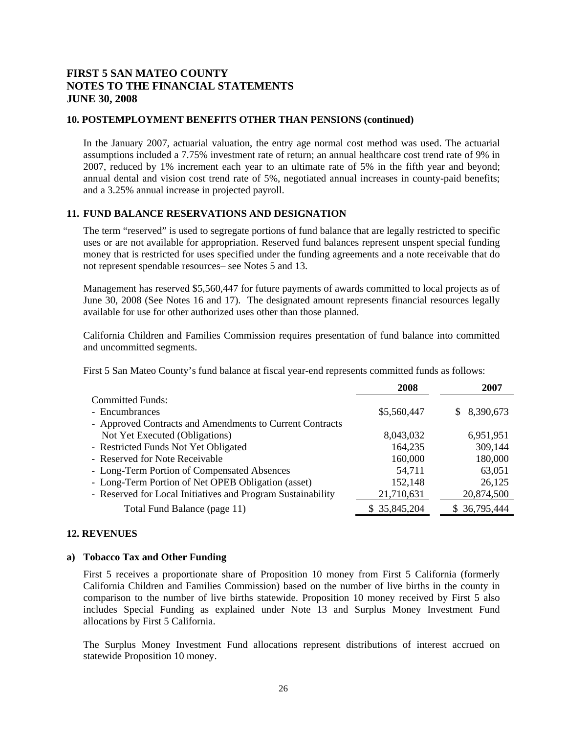### **10. POSTEMPLOYMENT BENEFITS OTHER THAN PENSIONS (continued)**

In the January 2007, actuarial valuation, the entry age normal cost method was used. The actuarial assumptions included a 7.75% investment rate of return; an annual healthcare cost trend rate of 9% in 2007, reduced by 1% increment each year to an ultimate rate of 5% in the fifth year and beyond; annual dental and vision cost trend rate of 5%, negotiated annual increases in county-paid benefits; and a 3.25% annual increase in projected payroll.

## **11. FUND BALANCE RESERVATIONS AND DESIGNATION**

The term "reserved" is used to segregate portions of fund balance that are legally restricted to specific uses or are not available for appropriation. Reserved fund balances represent unspent special funding money that is restricted for uses specified under the funding agreements and a note receivable that do not represent spendable resources– see Notes 5 and 13.

Management has reserved \$5,560,447 for future payments of awards committed to local projects as of June 30, 2008 (See Notes 16 and 17). The designated amount represents financial resources legally available for use for other authorized uses other than those planned.

California Children and Families Commission requires presentation of fund balance into committed and uncommitted segments.

First 5 San Mateo County's fund balance at fiscal year-end represents committed funds as follows:

|                                                             | 2008         | 2007          |
|-------------------------------------------------------------|--------------|---------------|
| <b>Committed Funds:</b>                                     |              |               |
| - Encumbrances                                              | \$5,560,447  | \$8,390,673   |
| - Approved Contracts and Amendments to Current Contracts    |              |               |
| Not Yet Executed (Obligations)                              | 8,043,032    | 6,951,951     |
| - Restricted Funds Not Yet Obligated                        | 164,235      | 309,144       |
| - Reserved for Note Receivable                              | 160,000      | 180,000       |
| - Long-Term Portion of Compensated Absences                 | 54,711       | 63,051        |
| - Long-Term Portion of Net OPEB Obligation (asset)          | 152,148      | 26,125        |
| - Reserved for Local Initiatives and Program Sustainability | 21,710,631   | 20,874,500    |
| Total Fund Balance (page 11)                                | \$35,845,204 | \$ 36,795,444 |

## **12. REVENUES**

#### **a) Tobacco Tax and Other Funding**

First 5 receives a proportionate share of Proposition 10 money from First 5 California (formerly California Children and Families Commission) based on the number of live births in the county in comparison to the number of live births statewide. Proposition 10 money received by First 5 also includes Special Funding as explained under Note 13 and Surplus Money Investment Fund allocations by First 5 California.

The Surplus Money Investment Fund allocations represent distributions of interest accrued on statewide Proposition 10 money.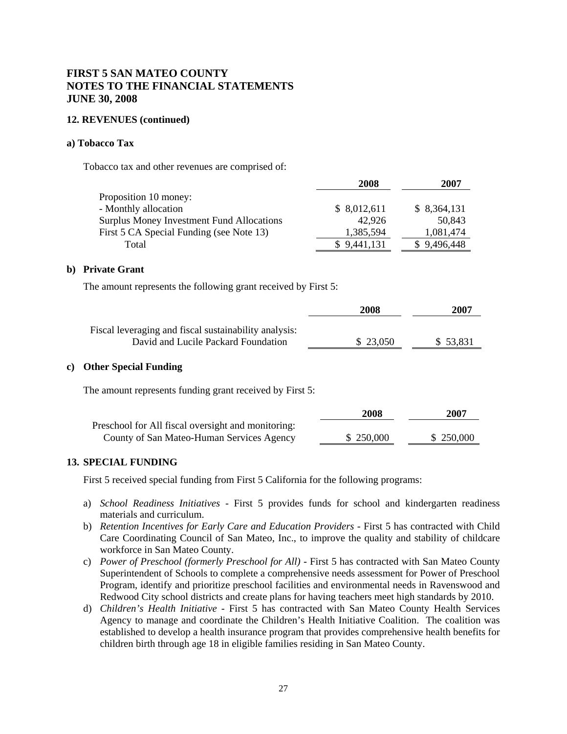### **12. REVENUES (continued)**

### **a) Tobacco Tax**

Tobacco tax and other revenues are comprised of:

| 2008        | 2007         |
|-------------|--------------|
|             |              |
| \$8,012,611 | \$ 8,364,131 |
| 42,926      | 50.843       |
| 1,385,594   | 1,081,474    |
| \$9,441,131 | \$9,496,448  |
|             |              |

### **b) Private Grant**

The amount represents the following grant received by First 5:

|                                                                                              | 2008      | 2007     |
|----------------------------------------------------------------------------------------------|-----------|----------|
| Fiscal leveraging and fiscal sustainability analysis:<br>David and Lucile Packard Foundation | \$ 23,050 | \$53,831 |

### **c) Other Special Funding**

The amount represents funding grant received by First 5:

|                                                    | 2008       | 2007      |
|----------------------------------------------------|------------|-----------|
| Preschool for All fiscal oversight and monitoring: |            |           |
| County of San Mateo-Human Services Agency          | \$ 250,000 | \$250,000 |

## **13. SPECIAL FUNDING**

First 5 received special funding from First 5 California for the following programs:

- a) *School Readiness Initiatives*  First 5 provides funds for school and kindergarten readiness materials and curriculum.
- b) *Retention Incentives for Early Care and Education Providers First 5 has contracted with Child* Care Coordinating Council of San Mateo, Inc., to improve the quality and stability of childcare workforce in San Mateo County.
- c) *Power of Preschool (formerly Preschool for All)*  First 5 has contracted with San Mateo County Superintendent of Schools to complete a comprehensive needs assessment for Power of Preschool Program, identify and prioritize preschool facilities and environmental needs in Ravenswood and Redwood City school districts and create plans for having teachers meet high standards by 2010.
- d) *Children's Health Initiative*  First 5 has contracted with San Mateo County Health Services Agency to manage and coordinate the Children's Health Initiative Coalition. The coalition was established to develop a health insurance program that provides comprehensive health benefits for children birth through age 18 in eligible families residing in San Mateo County.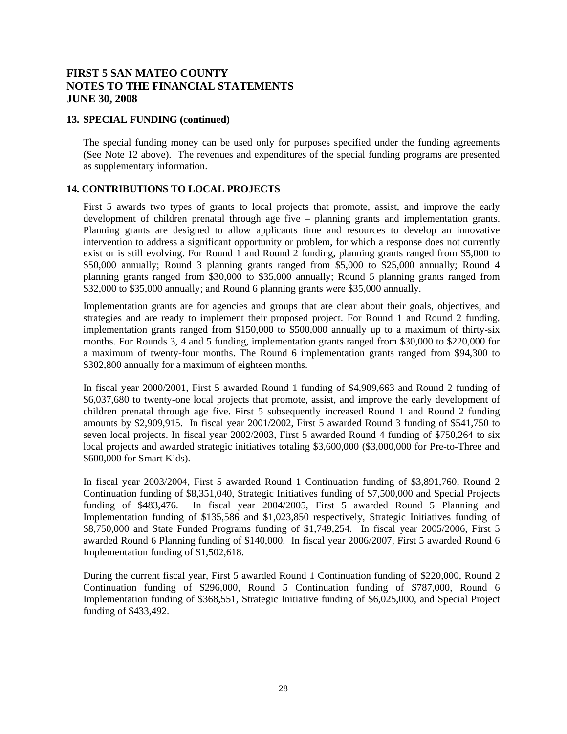### **13. SPECIAL FUNDING (continued)**

The special funding money can be used only for purposes specified under the funding agreements (See Note 12 above). The revenues and expenditures of the special funding programs are presented as supplementary information.

## **14. CONTRIBUTIONS TO LOCAL PROJECTS**

First 5 awards two types of grants to local projects that promote, assist, and improve the early development of children prenatal through age five – planning grants and implementation grants. Planning grants are designed to allow applicants time and resources to develop an innovative intervention to address a significant opportunity or problem, for which a response does not currently exist or is still evolving. For Round 1 and Round 2 funding, planning grants ranged from \$5,000 to \$50,000 annually; Round 3 planning grants ranged from \$5,000 to \$25,000 annually; Round 4 planning grants ranged from \$30,000 to \$35,000 annually; Round 5 planning grants ranged from \$32,000 to \$35,000 annually; and Round 6 planning grants were \$35,000 annually.

Implementation grants are for agencies and groups that are clear about their goals, objectives, and strategies and are ready to implement their proposed project. For Round 1 and Round 2 funding, implementation grants ranged from \$150,000 to \$500,000 annually up to a maximum of thirty-six months. For Rounds 3, 4 and 5 funding, implementation grants ranged from \$30,000 to \$220,000 for a maximum of twenty-four months. The Round 6 implementation grants ranged from \$94,300 to \$302,800 annually for a maximum of eighteen months.

In fiscal year 2000/2001, First 5 awarded Round 1 funding of \$4,909,663 and Round 2 funding of \$6,037,680 to twenty-one local projects that promote, assist, and improve the early development of children prenatal through age five. First 5 subsequently increased Round 1 and Round 2 funding amounts by \$2,909,915. In fiscal year 2001/2002, First 5 awarded Round 3 funding of \$541,750 to seven local projects. In fiscal year 2002/2003, First 5 awarded Round 4 funding of \$750,264 to six local projects and awarded strategic initiatives totaling \$3,600,000 (\$3,000,000 for Pre-to-Three and \$600,000 for Smart Kids).

In fiscal year 2003/2004, First 5 awarded Round 1 Continuation funding of \$3,891,760, Round 2 Continuation funding of \$8,351,040, Strategic Initiatives funding of \$7,500,000 and Special Projects funding of \$483,476. In fiscal year 2004/2005, First 5 awarded Round 5 Planning and Implementation funding of \$135,586 and \$1,023,850 respectively, Strategic Initiatives funding of \$8,750,000 and State Funded Programs funding of \$1,749,254. In fiscal year 2005/2006, First 5 awarded Round 6 Planning funding of \$140,000. In fiscal year 2006/2007, First 5 awarded Round 6 Implementation funding of \$1,502,618.

During the current fiscal year, First 5 awarded Round 1 Continuation funding of \$220,000, Round 2 Continuation funding of \$296,000, Round 5 Continuation funding of \$787,000, Round 6 Implementation funding of \$368,551, Strategic Initiative funding of \$6,025,000, and Special Project funding of \$433,492.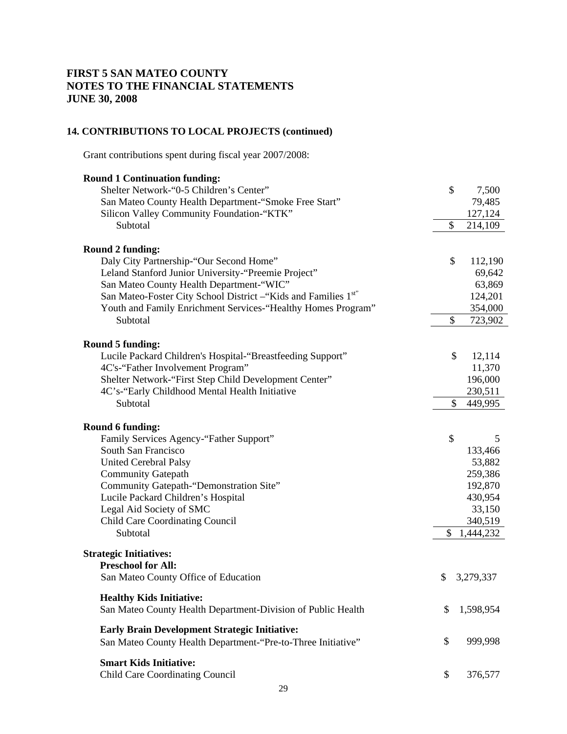## **14. CONTRIBUTIONS TO LOCAL PROJECTS (continued)**

Grant contributions spent during fiscal year 2007/2008:

| \$<br>7,500          |
|----------------------|
| 79,485               |
| 127,124              |
| \$<br>214,109        |
|                      |
| \$<br>112,190        |
| 69,642               |
| 63,869               |
| 124,201              |
| 354,000              |
| \$<br>723,902        |
|                      |
| \$<br>12,114         |
| 11,370               |
| 196,000              |
| 230,511              |
| \$<br>449,995        |
|                      |
|                      |
| 5                    |
| 133,466              |
| 53,882               |
| 259,386              |
| 192,870              |
| 430,954              |
| 33,150               |
| 340,519              |
| 1,444,232            |
|                      |
|                      |
| \$<br>3,279,337      |
|                      |
| 1,598,954            |
|                      |
| 999,998              |
|                      |
| \$<br>376,577        |
| \$<br>\$<br>\$<br>\$ |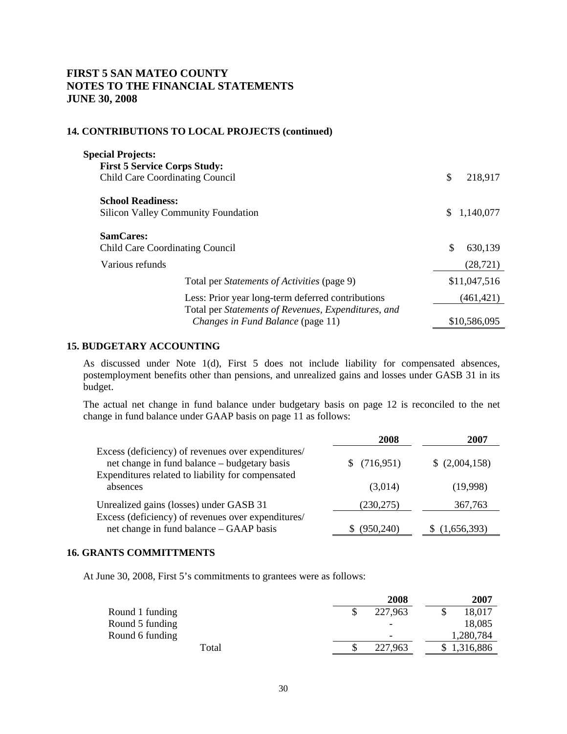# **14. CONTRIBUTIONS TO LOCAL PROJECTS (continued)**

| <b>Special Projects:</b>               |                                                     |    |              |
|----------------------------------------|-----------------------------------------------------|----|--------------|
| <b>First 5 Service Corps Study:</b>    |                                                     |    |              |
| <b>Child Care Coordinating Council</b> |                                                     | \$ | 218,917      |
| <b>School Readiness:</b>               |                                                     |    |              |
|                                        | <b>Silicon Valley Community Foundation</b>          | S. | 1,140,077    |
| <b>SamCares:</b>                       |                                                     |    |              |
| <b>Child Care Coordinating Council</b> |                                                     | \$ | 630,139      |
| Various refunds                        |                                                     |    | (28, 721)    |
|                                        | Total per <i>Statements of Activities</i> (page 9)  |    | \$11,047,516 |
|                                        | Less: Prior year long-term deferred contributions   |    | (461, 421)   |
|                                        | Total per Statements of Revenues, Expenditures, and |    |              |
|                                        | Changes in Fund Balance (page 11)                   |    | \$10,586,095 |

### **15. BUDGETARY ACCOUNTING**

As discussed under Note 1(d), First 5 does not include liability for compensated absences, postemployment benefits other than pensions, and unrealized gains and losses under GASB 31 in its budget.

The actual net change in fund balance under budgetary basis on page 12 is reconciled to the net change in fund balance under GAAP basis on page 11 as follows:

|                                                                                                    | 2008       | 2007           |
|----------------------------------------------------------------------------------------------------|------------|----------------|
| Excess (deficiency) of revenues over expenditures/<br>net change in fund balance – budgetary basis | (716, 951) | \$ (2,004,158) |
| Expenditures related to liability for compensated<br>absences                                      | (3,014)    | (19,998)       |
| Unrealized gains (losses) under GASB 31                                                            | (230, 275) | 367,763        |
| Excess (deficiency) of revenues over expenditures/<br>net change in fund balance – GAAP basis      | (950.240)  | (1,656,393)    |

## **16. GRANTS COMMITTMENTS**

At June 30, 2008, First 5's commitments to grantees were as follows:

|                 | 2008                     | 2007        |
|-----------------|--------------------------|-------------|
| Round 1 funding | 227,963                  | 18,017      |
| Round 5 funding | $\overline{\phantom{0}}$ | 18,085      |
| Round 6 funding | $\overline{\phantom{0}}$ | 1,280,784   |
| Total           | 227,963                  | \$1,316,886 |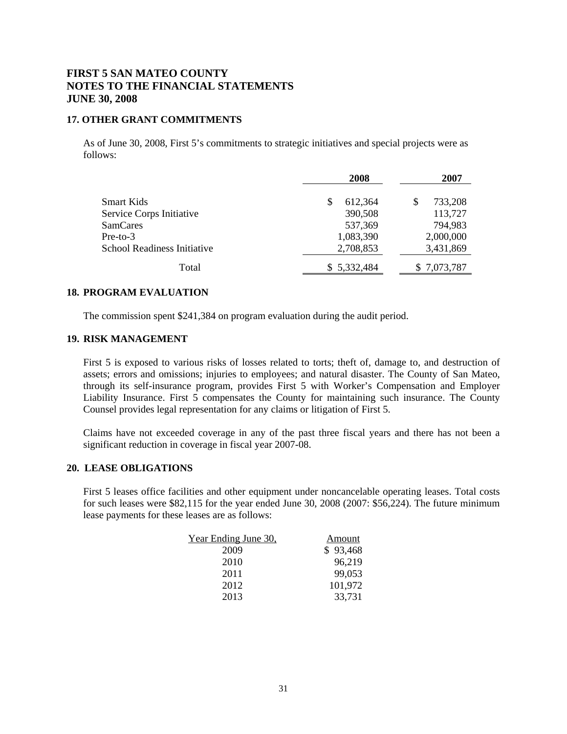### **17. OTHER GRANT COMMITMENTS**

As of June 30, 2008, First 5's commitments to strategic initiatives and special projects were as follows:

|                             | 2008        | 2007         |
|-----------------------------|-------------|--------------|
| <b>Smart Kids</b>           | 612,364     | 733,208<br>S |
| Service Corps Initiative    | 390,508     | 113,727      |
| <b>SamCares</b>             | 537,369     | 794,983      |
| $Pre-to-3$                  | 1,083,390   | 2,000,000    |
| School Readiness Initiative | 2,708,853   | 3,431,869    |
| Total                       | \$5,332,484 | \$7,073,787  |

### **18. PROGRAM EVALUATION**

The commission spent \$241,384 on program evaluation during the audit period.

### **19. RISK MANAGEMENT**

First 5 is exposed to various risks of losses related to torts; theft of, damage to, and destruction of assets; errors and omissions; injuries to employees; and natural disaster. The County of San Mateo, through its self-insurance program, provides First 5 with Worker's Compensation and Employer Liability Insurance. First 5 compensates the County for maintaining such insurance. The County Counsel provides legal representation for any claims or litigation of First 5.

Claims have not exceeded coverage in any of the past three fiscal years and there has not been a significant reduction in coverage in fiscal year 2007-08.

#### **20. LEASE OBLIGATIONS**

First 5 leases office facilities and other equipment under noncancelable operating leases. Total costs for such leases were \$82,115 for the year ended June 30, 2008 (2007: \$56,224). The future minimum lease payments for these leases are as follows:

| Amount   |
|----------|
| \$93,468 |
| 96,219   |
| 99,053   |
| 101,972  |
| 33,731   |
|          |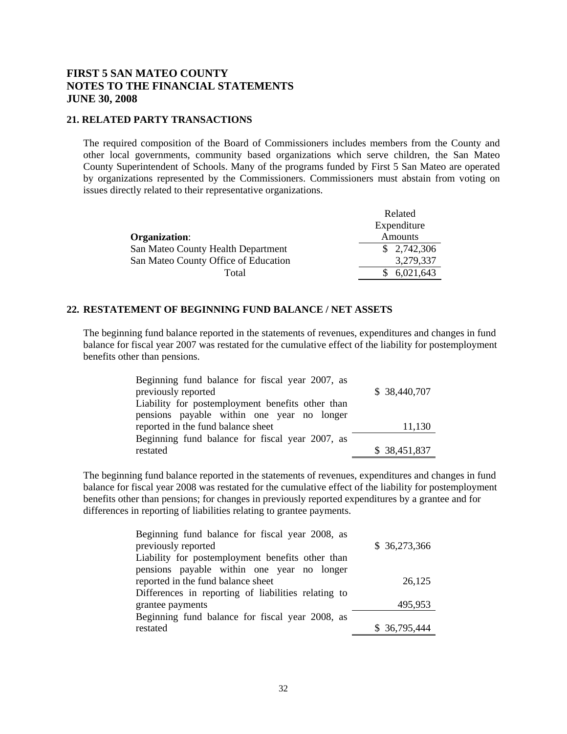## **21. RELATED PARTY TRANSACTIONS**

 The required composition of the Board of Commissioners includes members from the County and other local governments, community based organizations which serve children, the San Mateo County Superintendent of Schools. Many of the programs funded by First 5 San Mateo are operated by organizations represented by the Commissioners. Commissioners must abstain from voting on issues directly related to their representative organizations.

|                                      | Related     |
|--------------------------------------|-------------|
|                                      | Expenditure |
| Organization:                        | Amounts     |
| San Mateo County Health Department   | \$2,742,306 |
| San Mateo County Office of Education | 3,279,337   |
| Total                                | 6,021,643   |

### **22. RESTATEMENT OF BEGINNING FUND BALANCE / NET ASSETS**

The beginning fund balance reported in the statements of revenues, expenditures and changes in fund balance for fiscal year 2007 was restated for the cumulative effect of the liability for postemployment benefits other than pensions.

| Beginning fund balance for fiscal year 2007, as  |              |
|--------------------------------------------------|--------------|
| previously reported                              | \$38,440,707 |
| Liability for postemployment benefits other than |              |
| pensions payable within one year no longer       |              |
| reported in the fund balance sheet               | 11,130       |
| Beginning fund balance for fiscal year 2007, as  |              |
| restated                                         | \$38,451,837 |

 The beginning fund balance reported in the statements of revenues, expenditures and changes in fund balance for fiscal year 2008 was restated for the cumulative effect of the liability for postemployment benefits other than pensions; for changes in previously reported expenditures by a grantee and for differences in reporting of liabilities relating to grantee payments.

| Beginning fund balance for fiscal year 2008, as     |               |
|-----------------------------------------------------|---------------|
| previously reported                                 | \$36,273,366  |
| Liability for postemployment benefits other than    |               |
| pensions payable within one year no longer          |               |
| reported in the fund balance sheet                  | 26,125        |
| Differences in reporting of liabilities relating to |               |
| grantee payments                                    | 495,953       |
| Beginning fund balance for fiscal year 2008, as     |               |
| restated                                            | \$ 36,795,444 |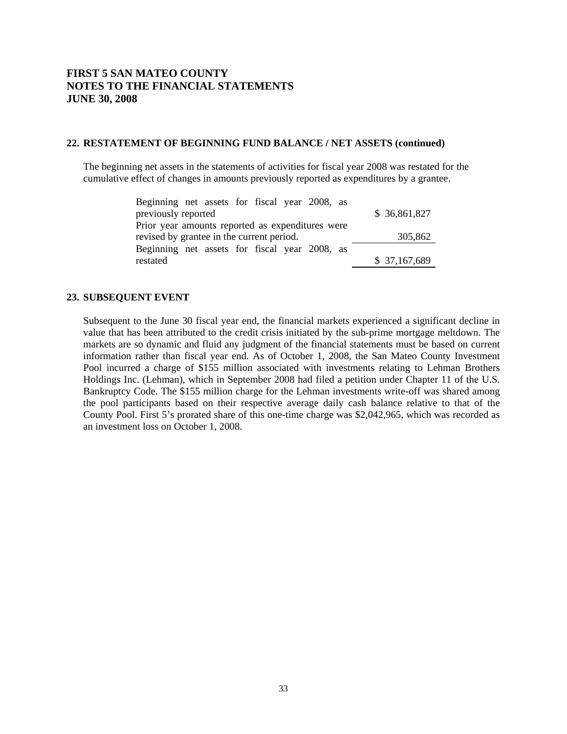### **22. RESTATEMENT OF BEGINNING FUND BALANCE / NET ASSETS (continued)**

The beginning net assets in the statements of activities for fiscal year 2008 was restated for the cumulative effect of changes in amounts previously reported as expenditures by a grantee.

| Beginning net assets for fiscal year 2008, as    |              |
|--------------------------------------------------|--------------|
| previously reported                              | \$36,861,827 |
| Prior year amounts reported as expenditures were |              |
| revised by grantee in the current period.        | 305,862      |
| Beginning net assets for fiscal year 2008, as    |              |
| restated                                         | \$37,167,689 |

## **23. SUBSEQUENT EVENT**

Subsequent to the June 30 fiscal year end, the financial markets experienced a significant decline in value that has been attributed to the credit crisis initiated by the sub-prime mortgage meltdown. The markets are so dynamic and fluid any judgment of the financial statements must be based on current information rather than fiscal year end. As of October 1, 2008, the San Mateo County Investment Pool incurred a charge of \$155 million associated with investments relating to Lehman Brothers Holdings Inc. (Lehman), which in September 2008 had filed a petition under Chapter 11 of the U.S. Bankruptcy Code. The \$155 million charge for the Lehman investments write-off was shared among the pool participants based on their respective average daily cash balance relative to that of the County Pool. First 5's prorated share of this one-time charge was \$2,042,965, which was recorded as an investment loss on October 1, 2008.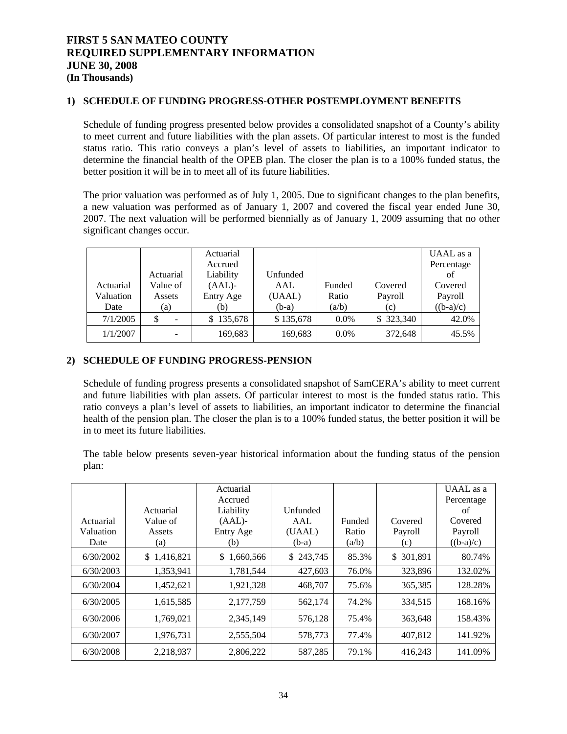## **FIRST 5 SAN MATEO COUNTY REQUIRED SUPPLEMENTARY INFORMATION JUNE 30, 2008 (In Thousands)**

### **1) SCHEDULE OF FUNDING PROGRESS-OTHER POSTEMPLOYMENT BENEFITS**

Schedule of funding progress presented below provides a consolidated snapshot of a County's ability to meet current and future liabilities with the plan assets. Of particular interest to most is the funded status ratio. This ratio conveys a plan's level of assets to liabilities, an important indicator to determine the financial health of the OPEB plan. The closer the plan is to a 100% funded status, the better position it will be in to meet all of its future liabilities.

The prior valuation was performed as of July 1, 2005. Due to significant changes to the plan benefits, a new valuation was performed as of January 1, 2007 and covered the fiscal year ended June 30, 2007. The next valuation will be performed biennially as of January 1, 2009 assuming that no other significant changes occur.

|           |           | Actuarial |           |         |           | UAAL as a   |
|-----------|-----------|-----------|-----------|---------|-----------|-------------|
|           |           | Accrued   |           |         |           | Percentage  |
|           | Actuarial | Liability | Unfunded  |         |           | of          |
| Actuarial | Value of  | $(AAL)$ - | AAL       | Funded  | Covered   | Covered     |
| Valuation | Assets    | Entry Age | (UAAL)    | Ratio   | Payroll   | Payroll     |
| Date      | (a)       | (b)       | $(b-a)$   | (a/b)   | (c)       | $((b-a)/c)$ |
| 7/1/2005  | \$        | \$135,678 | \$135,678 | $0.0\%$ | \$323,340 | 42.0%       |
| 1/1/2007  |           | 169,683   | 169,683   | $0.0\%$ | 372,648   | 45.5%       |

### **2) SCHEDULE OF FUNDING PROGRESS-PENSION**

Schedule of funding progress presents a consolidated snapshot of SamCERA's ability to meet current and future liabilities with plan assets. Of particular interest to most is the funded status ratio. This ratio conveys a plan's level of assets to liabilities, an important indicator to determine the financial health of the pension plan. The closer the plan is to a 100% funded status, the better position it will be in to meet its future liabilities.

The table below presents seven-year historical information about the funding status of the pension plan:

|           |             | Actuarial            |           |        |            | UAAL as a        |
|-----------|-------------|----------------------|-----------|--------|------------|------------------|
|           | Actuarial   | Accrued<br>Liability | Unfunded  |        |            | Percentage<br>of |
| Actuarial | Value of    | $(AAL)$ -            | AAL       | Funded | Covered    | Covered          |
| Valuation | Assets      | Entry Age            | (UAAL)    | Ratio  | Payroll    | Payroll          |
| Date      | (a)         | (b)                  | $(b-a)$   | (a/b)  | (c)        | $((b-a)/c)$      |
| 6/30/2002 | \$1,416,821 | \$1,660,566          | \$243,745 | 85.3%  | \$ 301,891 | 80.74%           |
| 6/30/2003 | 1,353,941   | 1,781,544            | 427,603   | 76.0%  | 323,896    | 132.02%          |
| 6/30/2004 | 1,452,621   | 1,921,328            | 468,707   | 75.6%  | 365,385    | 128.28%          |
| 6/30/2005 | 1,615,585   | 2,177,759            | 562,174   | 74.2%  | 334,515    | 168.16%          |
| 6/30/2006 | 1,769,021   | 2,345,149            | 576,128   | 75.4%  | 363,648    | 158.43%          |
| 6/30/2007 | 1,976,731   | 2,555,504            | 578,773   | 77.4%  | 407,812    | 141.92%          |
| 6/30/2008 | 2,218,937   | 2,806,222            | 587,285   | 79.1%  | 416,243    | 141.09%          |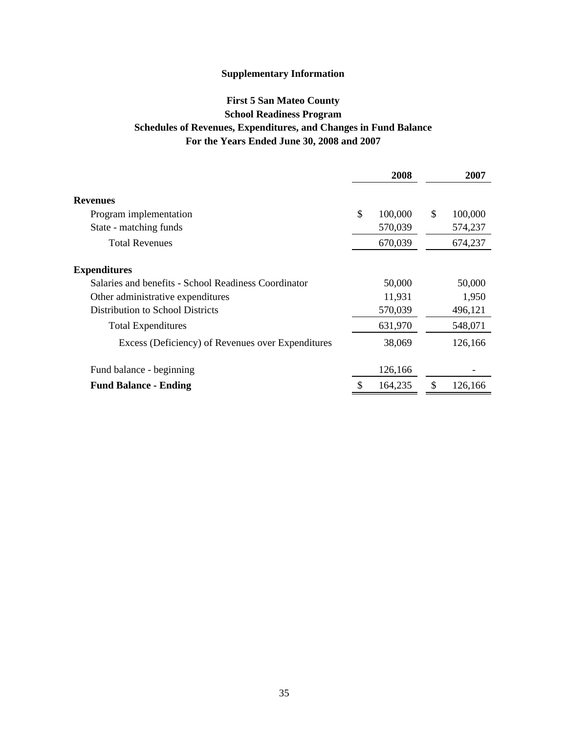## **For the Years Ended June 30, 2008 and 2007 First 5 San Mateo County School Readiness Program Schedules of Revenues, Expenditures, and Changes in Fund Balance**

|                                                      | 2008          | 2007          |
|------------------------------------------------------|---------------|---------------|
| <b>Revenues</b>                                      |               |               |
| Program implementation                               | \$<br>100,000 | \$<br>100,000 |
| State - matching funds                               | 570,039       | 574,237       |
| <b>Total Revenues</b>                                | 670,039       | 674,237       |
| <b>Expenditures</b>                                  |               |               |
| Salaries and benefits - School Readiness Coordinator | 50,000        | 50,000        |
| Other administrative expenditures                    | 11,931        | 1,950         |
| Distribution to School Districts                     | 570,039       | 496,121       |
| <b>Total Expenditures</b>                            | 631,970       | 548,071       |
| Excess (Deficiency) of Revenues over Expenditures    | 38,069        | 126,166       |
| Fund balance - beginning                             | 126,166       |               |
| <b>Fund Balance - Ending</b>                         | 164,235       | \$<br>126,166 |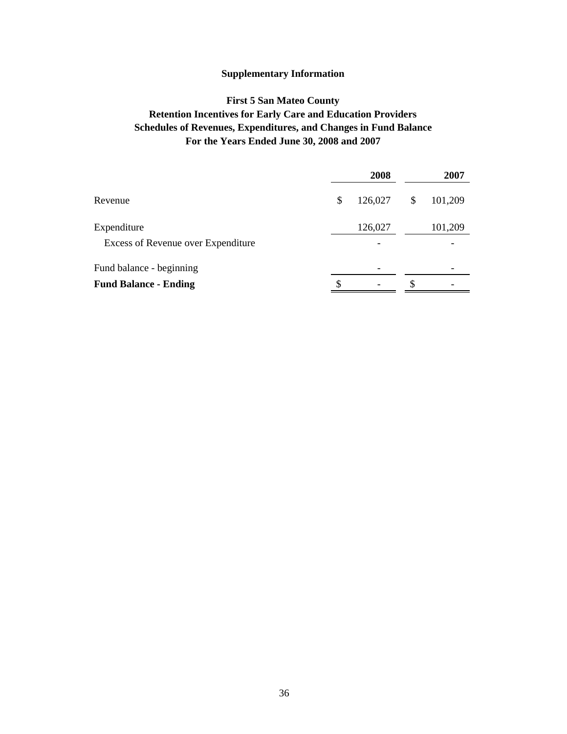## **For the Years Ended June 30, 2008 and 2007 First 5 San Mateo County Retention Incentives for Early Care and Education Providers Schedules of Revenues, Expenditures, and Changes in Fund Balance**

|                                    | 2008          |    | 2007    |  |  |
|------------------------------------|---------------|----|---------|--|--|
| Revenue                            | \$<br>126,027 | \$ | 101,209 |  |  |
| Expenditure                        | 126,027       |    | 101,209 |  |  |
| Excess of Revenue over Expenditure |               |    |         |  |  |
| Fund balance - beginning           |               |    |         |  |  |
| <b>Fund Balance - Ending</b>       |               |    |         |  |  |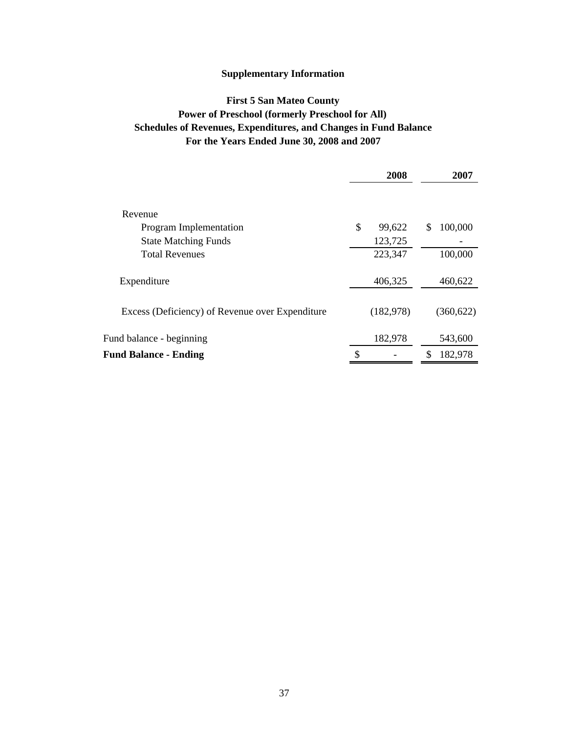## **For the Years Ended June 30, 2008 and 2007 First 5 San Mateo County Power of Preschool (formerly Preschool for All) Schedules of Revenues, Expenditures, and Changes in Fund Balance**

|                                                 | 2008         |   | 2007       |  |
|-------------------------------------------------|--------------|---|------------|--|
|                                                 |              |   |            |  |
| Revenue                                         |              |   |            |  |
| Program Implementation                          | \$<br>99,622 | S | 100,000    |  |
| <b>State Matching Funds</b>                     | 123,725      |   |            |  |
| <b>Total Revenues</b>                           | 223,347      |   | 100,000    |  |
|                                                 |              |   |            |  |
| Expenditure                                     | 406,325      |   | 460,622    |  |
|                                                 |              |   |            |  |
| Excess (Deficiency) of Revenue over Expenditure | (182, 978)   |   | (360, 622) |  |
|                                                 |              |   |            |  |
| Fund balance - beginning                        | 182,978      |   | 543,600    |  |
| <b>Fund Balance - Ending</b>                    | \$           |   | 182,978    |  |